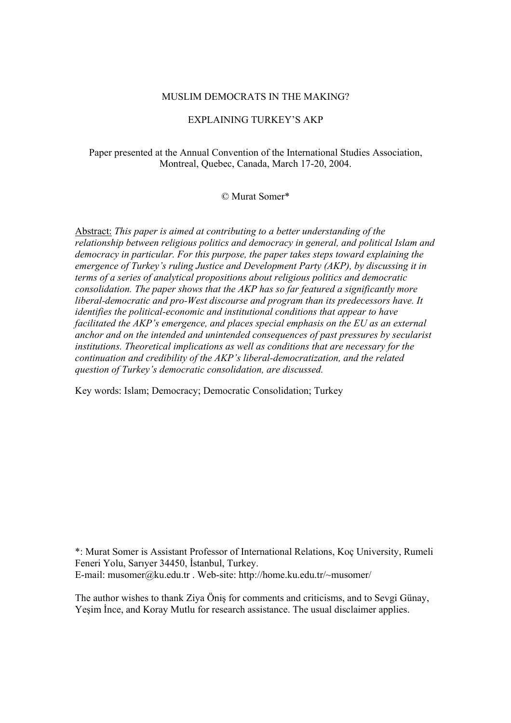## MUSLIM DEMOCRATS IN THE MAKING?

# EXPLAINING TURKEY'S AKP

# Paper presented at the Annual Convention of the International Studies Association, Montreal, Quebec, Canada, March 17-20, 2004.

# © Murat Somer\*

Abstract: *This paper is aimed at contributing to a better understanding of the relationship between religious politics and democracy in general, and political Islam and democracy in particular. For this purpose, the paper takes steps toward explaining the emergence of Turkey's ruling Justice and Development Party (AKP), by discussing it in terms of a series of analytical propositions about religious politics and democratic consolidation. The paper shows that the AKP has so far featured a significantly more liberal-democratic and pro-West discourse and program than its predecessors have. It identifies the political-economic and institutional conditions that appear to have facilitated the AKP's emergence, and places special emphasis on the EU as an external anchor and on the intended and unintended consequences of past pressures by secularist institutions. Theoretical implications as well as conditions that are necessary for the continuation and credibility of the AKP's liberal-democratization, and the related question of Turkey's democratic consolidation, are discussed.* 

Key words: Islam; Democracy; Democratic Consolidation; Turkey

\*: Murat Somer is Assistant Professor of International Relations, Koç University, Rumeli Feneri Yolu, Sarıyer 34450, İstanbul, Turkey. E-mail: musomer@ku.edu.tr . Web-site: http://home.ku.edu.tr/~musomer/

The author wishes to thank Ziya Öniş for comments and criticisms, and to Sevgi Günay, Yeşim İnce, and Koray Mutlu for research assistance. The usual disclaimer applies.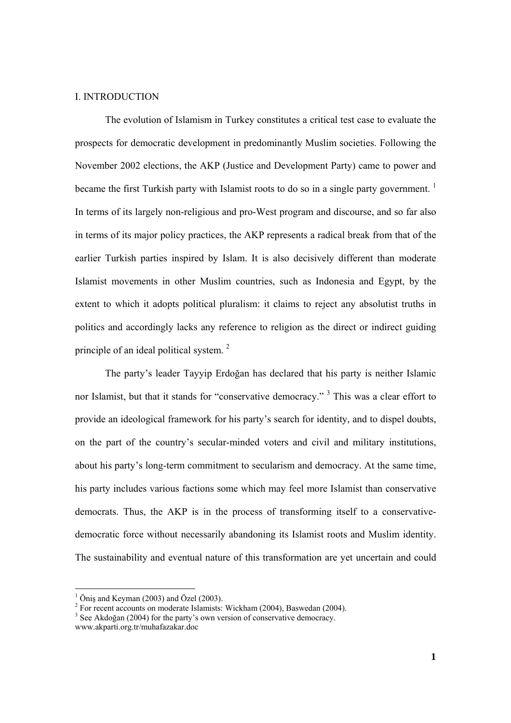## I. INTRODUCTION

The evolution of Islamism in Turkey constitutes a critical test case to evaluate the prospects for democratic development in predominantly Muslim societies. Following the November 2002 elections, the AKP (Justice and Development Party) came to power and became the first Turkish party with Islamist roots to do so in a single party government.  $<sup>1</sup>$ </sup> In terms of its largely non-religious and pro-West program and discourse, and so far also in terms of its major policy practices, the AKP represents a radical break from that of the earlier Turkish parties inspired by Islam. It is also decisively different than moderate Islamist movements in other Muslim countries, such as Indonesia and Egypt, by the extent to which it adopts political pluralism: it claims to reject any absolutist truths in politics and accordingly lacks any reference to religion as the direct or indirect guiding principle of an ideal political system.<sup>2</sup>

The party's leader Tayyip Erdoğan has declared that his party is neither Islamic nor Islamist, but that it stands for "conservative democracy." <sup>3</sup> This was a clear effort to provide an ideological framework for his party's search for identity, and to dispel doubts, on the part of the country's secular-minded voters and civil and military institutions, about his party's long-term commitment to secularism and democracy. At the same time, his party includes various factions some which may feel more Islamist than conservative democrats. Thus, the AKP is in the process of transforming itself to a conservativedemocratic force without necessarily abandoning its Islamist roots and Muslim identity. The sustainability and eventual nature of this transformation are yet uncertain and could

 $\frac{1}{2}$  Öniş and Keyman (2003) and Özel (2003).

For recent accounts on moderate Islamists: Wickham (2004), Baswedan (2004).

<sup>&</sup>lt;sup>3</sup> See Akdoğan (2004) for the party's own version of conservative democracy.

www.akparti.org.tr/muhafazakar.doc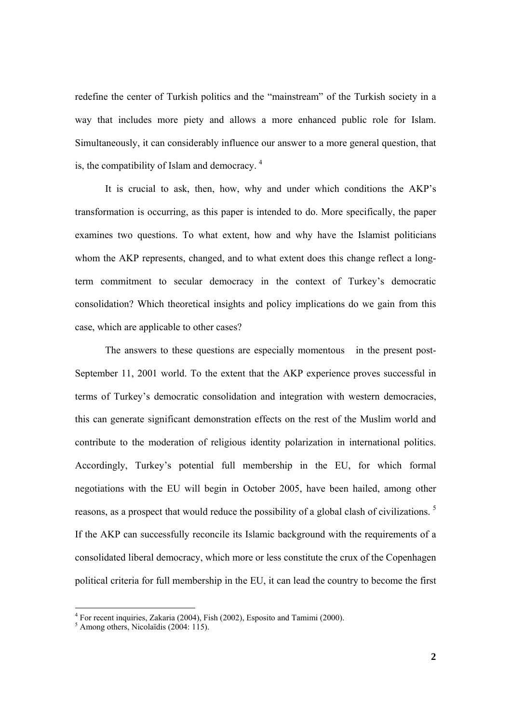redefine the center of Turkish politics and the "mainstream" of the Turkish society in a way that includes more piety and allows a more enhanced public role for Islam. Simultaneously, it can considerably influence our answer to a more general question, that is, the compatibility of Islam and democracy.  $4$ 

It is crucial to ask, then, how, why and under which conditions the AKP's transformation is occurring, as this paper is intended to do. More specifically, the paper examines two questions. To what extent, how and why have the Islamist politicians whom the AKP represents, changed, and to what extent does this change reflect a longterm commitment to secular democracy in the context of Turkey's democratic consolidation? Which theoretical insights and policy implications do we gain from this case, which are applicable to other cases?

The answers to these questions are especially momentous in the present post-September 11, 2001 world. To the extent that the AKP experience proves successful in terms of Turkey's democratic consolidation and integration with western democracies, this can generate significant demonstration effects on the rest of the Muslim world and contribute to the moderation of religious identity polarization in international politics. Accordingly, Turkey's potential full membership in the EU, for which formal negotiations with the EU will begin in October 2005, have been hailed, among other reasons, as a prospect that would reduce the possibility of a global clash of civilizations. 5 If the AKP can successfully reconcile its Islamic background with the requirements of a consolidated liberal democracy, which more or less constitute the crux of the Copenhagen political criteria for full membership in the EU, it can lead the country to become the first

<sup>&</sup>lt;sup>4</sup> For recent inquiries, Zakaria (2004), Fish (2002), Esposito and Tamimi (2000).<br><sup>5</sup> Among others, Nicolaïdis (2004: 115).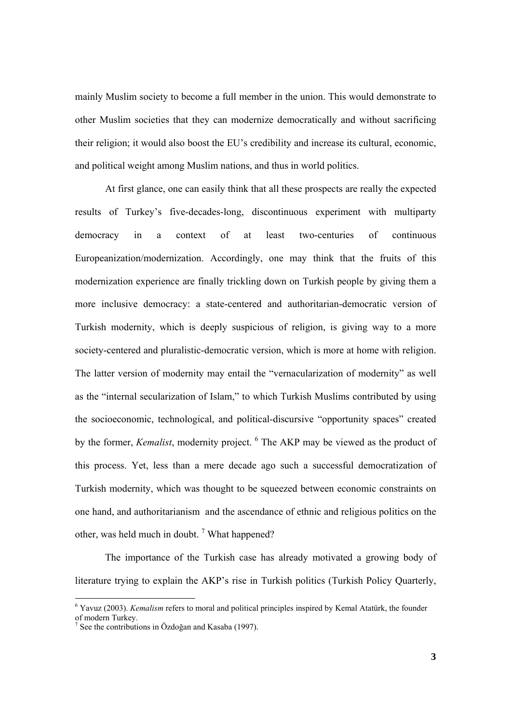mainly Muslim society to become a full member in the union. This would demonstrate to other Muslim societies that they can modernize democratically and without sacrificing their religion; it would also boost the EU's credibility and increase its cultural, economic, and political weight among Muslim nations, and thus in world politics.

At first glance, one can easily think that all these prospects are really the expected results of Turkey's five-decades-long, discontinuous experiment with multiparty democracy in a context of at least two-centuries of continuous Europeanization/modernization. Accordingly, one may think that the fruits of this modernization experience are finally trickling down on Turkish people by giving them a more inclusive democracy: a state-centered and authoritarian-democratic version of Turkish modernity, which is deeply suspicious of religion, is giving way to a more society-centered and pluralistic-democratic version, which is more at home with religion. The latter version of modernity may entail the "vernacularization of modernity" as well as the "internal secularization of Islam," to which Turkish Muslims contributed by using the socioeconomic, technological, and political-discursive "opportunity spaces" created by the former, *Kemalist*, modernity project. <sup>6</sup> The AKP may be viewed as the product of this process. Yet, less than a mere decade ago such a successful democratization of Turkish modernity, which was thought to be squeezed between economic constraints on one hand, and authoritarianism and the ascendance of ethnic and religious politics on the other, was held much in doubt.<sup>7</sup> What happened?

The importance of the Turkish case has already motivated a growing body of literature trying to explain the AKP's rise in Turkish politics (Turkish Policy Quarterly,

<sup>&</sup>lt;sup>6</sup> Yavuz (2003). *Kemalism* refers to moral and political principles inspired by Kemal Atatürk, the founder of modern Turkey.

<sup>7</sup> See the contributions in Özdoğan and Kasaba (1997).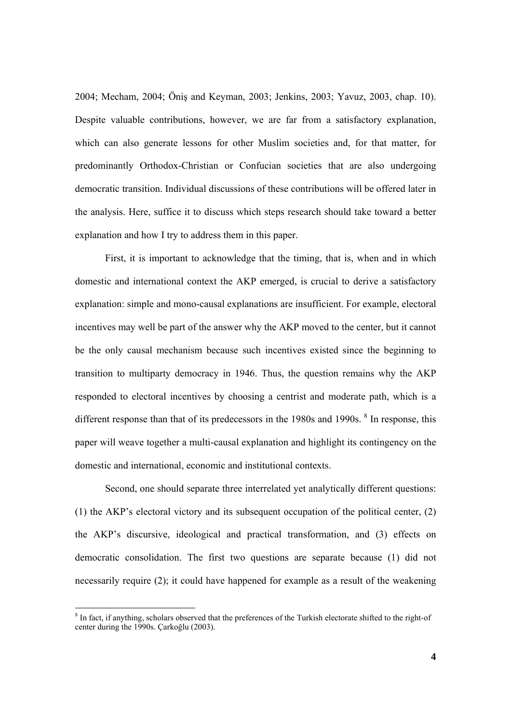2004; Mecham, 2004; Öniş and Keyman, 2003; Jenkins, 2003; Yavuz, 2003, chap. 10). Despite valuable contributions, however, we are far from a satisfactory explanation, which can also generate lessons for other Muslim societies and, for that matter, for predominantly Orthodox-Christian or Confucian societies that are also undergoing democratic transition. Individual discussions of these contributions will be offered later in the analysis. Here, suffice it to discuss which steps research should take toward a better explanation and how I try to address them in this paper.

First, it is important to acknowledge that the timing, that is, when and in which domestic and international context the AKP emerged, is crucial to derive a satisfactory explanation: simple and mono-causal explanations are insufficient. For example, electoral incentives may well be part of the answer why the AKP moved to the center, but it cannot be the only causal mechanism because such incentives existed since the beginning to transition to multiparty democracy in 1946. Thus, the question remains why the AKP responded to electoral incentives by choosing a centrist and moderate path, which is a different response than that of its predecessors in the  $1980s$  and  $1990s$ . <sup>8</sup> In response, this paper will weave together a multi-causal explanation and highlight its contingency on the domestic and international, economic and institutional contexts.

Second, one should separate three interrelated yet analytically different questions: (1) the AKP's electoral victory and its subsequent occupation of the political center, (2) the AKP's discursive, ideological and practical transformation, and (3) effects on democratic consolidation. The first two questions are separate because (1) did not necessarily require (2); it could have happened for example as a result of the weakening

<sup>&</sup>lt;sup>8</sup> In fact, if anything, scholars observed that the preferences of the Turkish electorate shifted to the right-of center during the 1990s. Çarkoğlu (2003).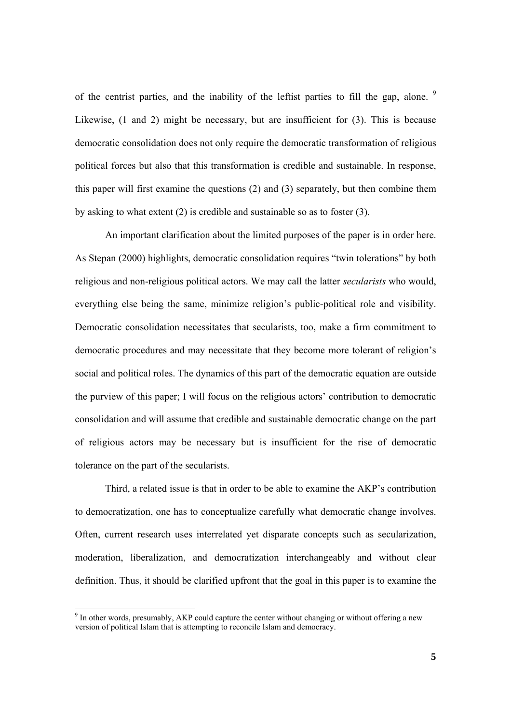of the centrist parties, and the inability of the leftist parties to fill the gap, alone.  $9$ Likewise, (1 and 2) might be necessary, but are insufficient for (3). This is because democratic consolidation does not only require the democratic transformation of religious political forces but also that this transformation is credible and sustainable. In response, this paper will first examine the questions (2) and (3) separately, but then combine them by asking to what extent (2) is credible and sustainable so as to foster (3).

An important clarification about the limited purposes of the paper is in order here. As Stepan (2000) highlights, democratic consolidation requires "twin tolerations" by both religious and non-religious political actors. We may call the latter *secularists* who would, everything else being the same, minimize religion's public-political role and visibility. Democratic consolidation necessitates that secularists, too, make a firm commitment to democratic procedures and may necessitate that they become more tolerant of religion's social and political roles. The dynamics of this part of the democratic equation are outside the purview of this paper; I will focus on the religious actors' contribution to democratic consolidation and will assume that credible and sustainable democratic change on the part of religious actors may be necessary but is insufficient for the rise of democratic tolerance on the part of the secularists.

Third, a related issue is that in order to be able to examine the AKP's contribution to democratization, one has to conceptualize carefully what democratic change involves. Often, current research uses interrelated yet disparate concepts such as secularization, moderation, liberalization, and democratization interchangeably and without clear definition. Thus, it should be clarified upfront that the goal in this paper is to examine the

 $9$  In other words, presumably, AKP could capture the center without changing or without offering a new version of political Islam that is attempting to reconcile Islam and democracy.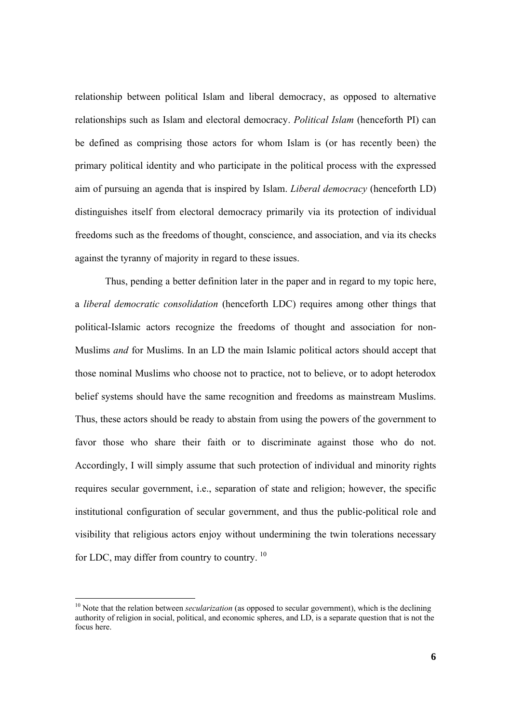relationship between political Islam and liberal democracy, as opposed to alternative relationships such as Islam and electoral democracy. *Political Islam* (henceforth PI) can be defined as comprising those actors for whom Islam is (or has recently been) the primary political identity and who participate in the political process with the expressed aim of pursuing an agenda that is inspired by Islam. *Liberal democracy* (henceforth LD) distinguishes itself from electoral democracy primarily via its protection of individual freedoms such as the freedoms of thought, conscience, and association, and via its checks against the tyranny of majority in regard to these issues.

Thus, pending a better definition later in the paper and in regard to my topic here, a *liberal democratic consolidation* (henceforth LDC) requires among other things that political-Islamic actors recognize the freedoms of thought and association for non-Muslims *and* for Muslims. In an LD the main Islamic political actors should accept that those nominal Muslims who choose not to practice, not to believe, or to adopt heterodox belief systems should have the same recognition and freedoms as mainstream Muslims. Thus, these actors should be ready to abstain from using the powers of the government to favor those who share their faith or to discriminate against those who do not. Accordingly, I will simply assume that such protection of individual and minority rights requires secular government, i.e., separation of state and religion; however, the specific institutional configuration of secular government, and thus the public-political role and visibility that religious actors enjoy without undermining the twin tolerations necessary for LDC, may differ from country to country.<sup>10</sup>

<sup>&</sup>lt;sup>10</sup> Note that the relation between *secularization* (as opposed to secular government), which is the declining authority of religion in social, political, and economic spheres, and LD, is a separate question that is not the focus here.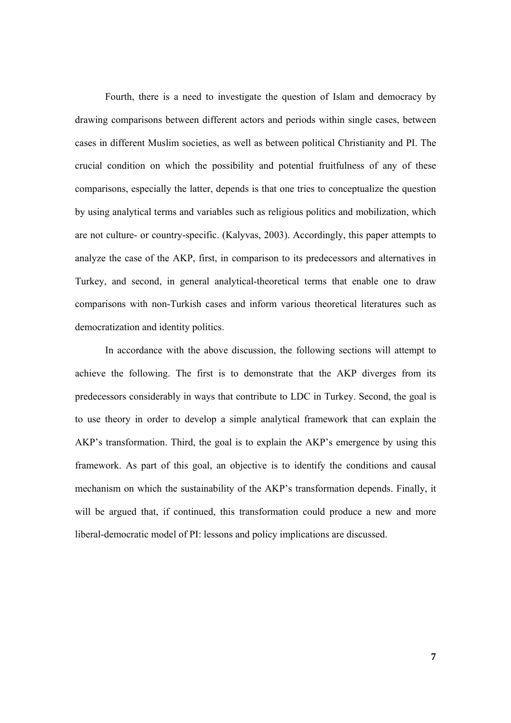Fourth, there is a need to investigate the question of Islam and democracy by drawing comparisons between different actors and periods within single cases, between cases in different Muslim societies, as well as between political Christianity and PI. The crucial condition on which the possibility and potential fruitfulness of any of these comparisons, especially the latter, depends is that one tries to conceptualize the question by using analytical terms and variables such as religious politics and mobilization, which are not culture- or country-specific. (Kalyvas, 2003). Accordingly, this paper attempts to analyze the case of the AKP, first, in comparison to its predecessors and alternatives in Turkey, and second, in general analytical-theoretical terms that enable one to draw comparisons with non-Turkish cases and inform various theoretical literatures such as democratization and identity politics.

In accordance with the above discussion, the following sections will attempt to achieve the following. The first is to demonstrate that the AKP diverges from its predecessors considerably in ways that contribute to LDC in Turkey. Second, the goal is to use theory in order to develop a simple analytical framework that can explain the AKP's transformation. Third, the goal is to explain the AKP's emergence by using this framework. As part of this goal, an objective is to identify the conditions and causal mechanism on which the sustainability of the AKP's transformation depends. Finally, it will be argued that, if continued, this transformation could produce a new and more liberal-democratic model of PI: lessons and policy implications are discussed.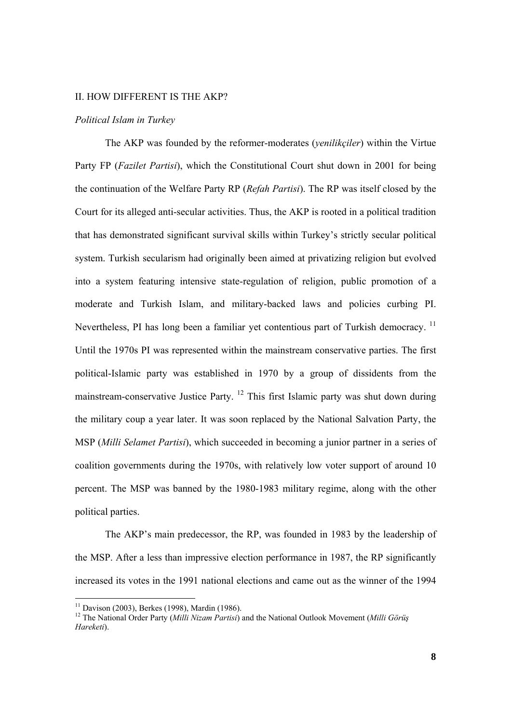## II. HOW DIFFERENT IS THE AKP?

### *Political Islam in Turkey*

 The AKP was founded by the reformer-moderates (*yenilikçiler*) within the Virtue Party FP (*Fazilet Partisi*), which the Constitutional Court shut down in 2001 for being the continuation of the Welfare Party RP (*Refah Partisi*). The RP was itself closed by the Court for its alleged anti-secular activities. Thus, the AKP is rooted in a political tradition that has demonstrated significant survival skills within Turkey's strictly secular political system. Turkish secularism had originally been aimed at privatizing religion but evolved into a system featuring intensive state-regulation of religion, public promotion of a moderate and Turkish Islam, and military-backed laws and policies curbing PI. Nevertheless, PI has long been a familiar yet contentious part of Turkish democracy.<sup>11</sup> Until the 1970s PI was represented within the mainstream conservative parties. The first political-Islamic party was established in 1970 by a group of dissidents from the mainstream-conservative Justice Party. 12 This first Islamic party was shut down during the military coup a year later. It was soon replaced by the National Salvation Party, the MSP (*Milli Selamet Partisi*), which succeeded in becoming a junior partner in a series of coalition governments during the 1970s, with relatively low voter support of around 10 percent. The MSP was banned by the 1980-1983 military regime, along with the other political parties.

The AKP's main predecessor, the RP, was founded in 1983 by the leadership of the MSP. After a less than impressive election performance in 1987, the RP significantly increased its votes in the 1991 national elections and came out as the winner of the 1994

 $11$  Davison (2003), Berkes (1998), Mardin (1986).

<sup>12</sup> The National Order Party (*Milli Nizam Partisi*) and the National Outlook Movement (*Milli Görüş Hareketi*).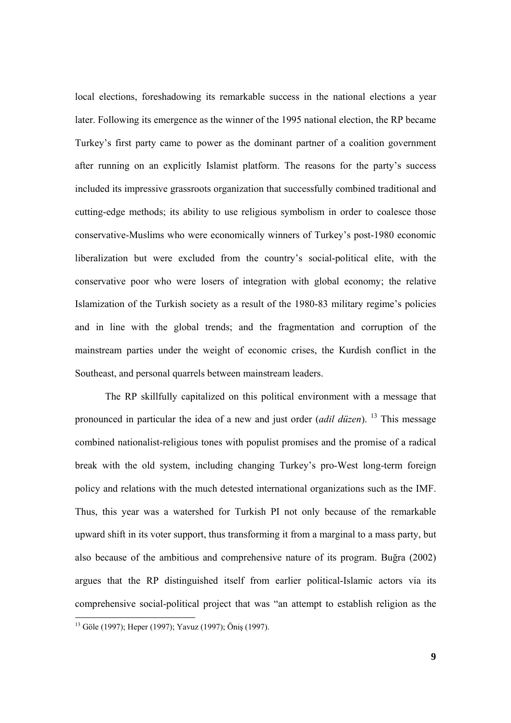local elections, foreshadowing its remarkable success in the national elections a year later. Following its emergence as the winner of the 1995 national election, the RP became Turkey's first party came to power as the dominant partner of a coalition government after running on an explicitly Islamist platform. The reasons for the party's success included its impressive grassroots organization that successfully combined traditional and cutting-edge methods; its ability to use religious symbolism in order to coalesce those conservative-Muslims who were economically winners of Turkey's post-1980 economic liberalization but were excluded from the country's social-political elite, with the conservative poor who were losers of integration with global economy; the relative Islamization of the Turkish society as a result of the 1980-83 military regime's policies and in line with the global trends; and the fragmentation and corruption of the mainstream parties under the weight of economic crises, the Kurdish conflict in the Southeast, and personal quarrels between mainstream leaders.

The RP skillfully capitalized on this political environment with a message that pronounced in particular the idea of a new and just order (*adil düzen*). 13 This message combined nationalist-religious tones with populist promises and the promise of a radical break with the old system, including changing Turkey's pro-West long-term foreign policy and relations with the much detested international organizations such as the IMF. Thus, this year was a watershed for Turkish PI not only because of the remarkable upward shift in its voter support, thus transforming it from a marginal to a mass party, but also because of the ambitious and comprehensive nature of its program. Buğra (2002) argues that the RP distinguished itself from earlier political-Islamic actors via its comprehensive social-political project that was "an attempt to establish religion as the 

<sup>&</sup>lt;sup>13</sup> Göle (1997); Heper (1997); Yavuz (1997); Öniş (1997).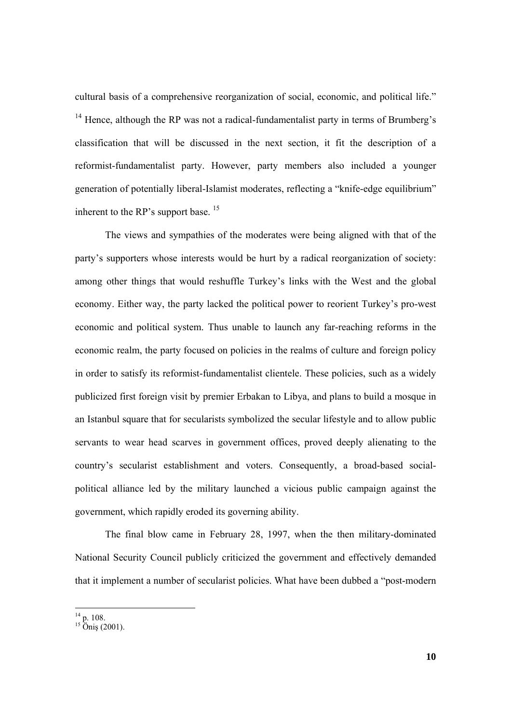cultural basis of a comprehensive reorganization of social, economic, and political life."  $14$  Hence, although the RP was not a radical-fundamentalist party in terms of Brumberg's classification that will be discussed in the next section, it fit the description of a reformist-fundamentalist party. However, party members also included a younger generation of potentially liberal-Islamist moderates, reflecting a "knife-edge equilibrium" inherent to the RP's support base.<sup>15</sup>

The views and sympathies of the moderates were being aligned with that of the party's supporters whose interests would be hurt by a radical reorganization of society: among other things that would reshuffle Turkey's links with the West and the global economy. Either way, the party lacked the political power to reorient Turkey's pro-west economic and political system. Thus unable to launch any far-reaching reforms in the economic realm, the party focused on policies in the realms of culture and foreign policy in order to satisfy its reformist-fundamentalist clientele. These policies, such as a widely publicized first foreign visit by premier Erbakan to Libya, and plans to build a mosque in an Istanbul square that for secularists symbolized the secular lifestyle and to allow public servants to wear head scarves in government offices, proved deeply alienating to the country's secularist establishment and voters. Consequently, a broad-based socialpolitical alliance led by the military launched a vicious public campaign against the government, which rapidly eroded its governing ability.

The final blow came in February 28, 1997, when the then military-dominated National Security Council publicly criticized the government and effectively demanded that it implement a number of secularist policies. What have been dubbed a "post-modern

 $^{14}$  p. 108.

 $15$  Öniş (2001).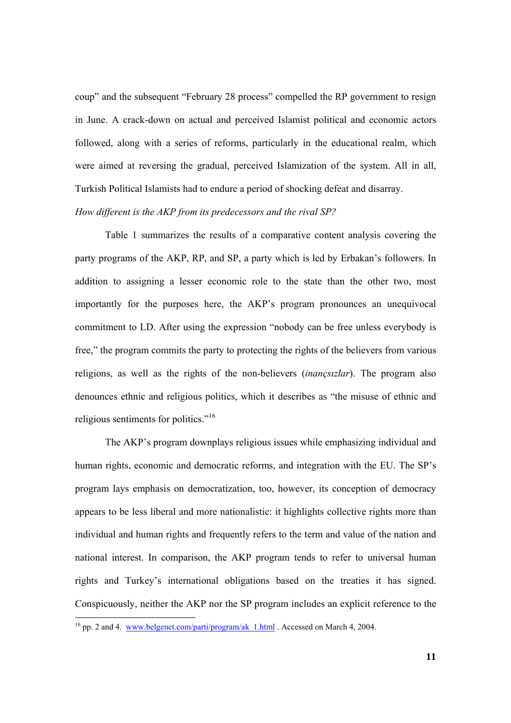coup" and the subsequent "February 28 process" compelled the RP government to resign in June. A crack-down on actual and perceived Islamist political and economic actors followed, along with a series of reforms, particularly in the educational realm, which were aimed at reversing the gradual, perceived Islamization of the system. All in all, Turkish Political Islamists had to endure a period of shocking defeat and disarray.

# *How different is the AKP from its predecessors and the rival SP?*

 Table 1 summarizes the results of a comparative content analysis covering the party programs of the AKP, RP, and SP, a party which is led by Erbakan's followers. In addition to assigning a lesser economic role to the state than the other two, most importantly for the purposes here, the AKP's program pronounces an unequivocal commitment to LD. After using the expression "nobody can be free unless everybody is free," the program commits the party to protecting the rights of the believers from various religions, as well as the rights of the non-believers (*inançsızlar*). The program also denounces ethnic and religious politics, which it describes as "the misuse of ethnic and religious sentiments for politics."16

The AKP's program downplays religious issues while emphasizing individual and human rights, economic and democratic reforms, and integration with the EU. The SP's program lays emphasis on democratization, too, however, its conception of democracy appears to be less liberal and more nationalistic: it highlights collective rights more than individual and human rights and frequently refers to the term and value of the nation and national interest. In comparison, the AKP program tends to refer to universal human rights and Turkey's international obligations based on the treaties it has signed. Conspicuously, neither the AKP nor the SP program includes an explicit reference to the 

<sup>&</sup>lt;sup>16</sup> pp. 2 and 4. www.belgenet.com/parti/program/ak  $1.html$ . Accessed on March 4, 2004.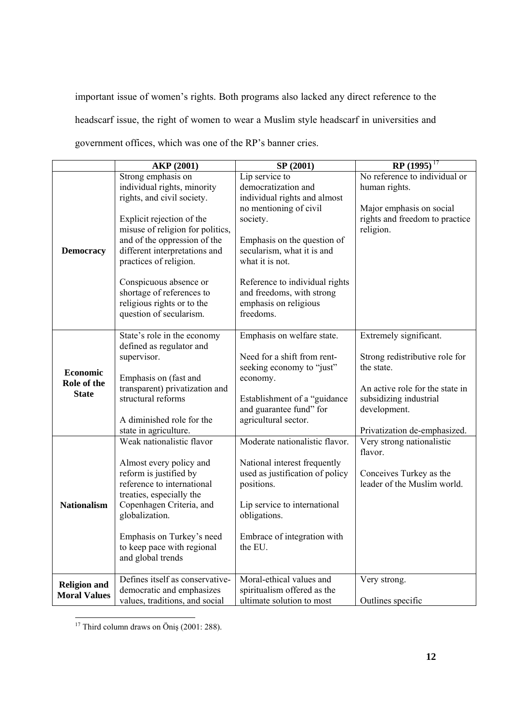important issue of women's rights. Both programs also lacked any direct reference to the headscarf issue, the right of women to wear a Muslim style headscarf in universities and government offices, which was one of the RP's banner cries.

|                                            | <b>AKP (2001)</b>                | SP (2001)                       | $RP(1995)^{17}$                      |
|--------------------------------------------|----------------------------------|---------------------------------|--------------------------------------|
|                                            | Strong emphasis on               | Lip service to                  | No reference to individual or        |
| <b>Democracy</b>                           | individual rights, minority      | democratization and             | human rights.                        |
|                                            | rights, and civil society.       | individual rights and almost    |                                      |
|                                            |                                  | no mentioning of civil          | Major emphasis on social             |
|                                            | Explicit rejection of the        | society.                        | rights and freedom to practice       |
|                                            | misuse of religion for politics, |                                 | religion.                            |
|                                            | and of the oppression of the     | Emphasis on the question of     |                                      |
|                                            | different interpretations and    | secularism, what it is and      |                                      |
|                                            | practices of religion.           | what it is not.                 |                                      |
|                                            | Conspicuous absence or           | Reference to individual rights  |                                      |
|                                            | shortage of references to        | and freedoms, with strong       |                                      |
|                                            | religious rights or to the       | emphasis on religious           |                                      |
|                                            | question of secularism.          | freedoms.                       |                                      |
|                                            | State's role in the economy      | Emphasis on welfare state.      | Extremely significant.               |
|                                            | defined as regulator and         |                                 |                                      |
|                                            | supervisor.                      | Need for a shift from rent-     | Strong redistributive role for       |
| <b>Economic</b>                            |                                  | seeking economy to "just"       | the state.                           |
| Role of the                                | Emphasis on (fast and            | economy.                        |                                      |
| <b>State</b>                               | transparent) privatization and   |                                 | An active role for the state in      |
|                                            | structural reforms               | Establishment of a "guidance    | subsidizing industrial               |
|                                            |                                  | and guarantee fund" for         | development.                         |
|                                            | A diminished role for the        | agricultural sector.            |                                      |
|                                            | state in agriculture.            |                                 | Privatization de-emphasized.         |
|                                            | Weak nationalistic flavor        | Moderate nationalistic flavor.  | Very strong nationalistic<br>flavor. |
|                                            | Almost every policy and          | National interest frequently    |                                      |
|                                            | reform is justified by           | used as justification of policy | Conceives Turkey as the              |
|                                            | reference to international       | positions.                      | leader of the Muslim world.          |
|                                            | treaties, especially the         |                                 |                                      |
| <b>Nationalism</b>                         | Copenhagen Criteria, and         | Lip service to international    |                                      |
|                                            | globalization.                   | obligations.                    |                                      |
|                                            | Emphasis on Turkey's need        | Embrace of integration with     |                                      |
|                                            | to keep pace with regional       | the EU.                         |                                      |
|                                            | and global trends                |                                 |                                      |
|                                            | Defines itself as conservative-  | Moral-ethical values and        | Very strong.                         |
| <b>Religion and</b><br><b>Moral Values</b> | democratic and emphasizes        | spiritualism offered as the     |                                      |
|                                            | values, traditions, and social   | ultimate solution to most       | Outlines specific                    |

  $17$  Third column draws on Öniş (2001: 288).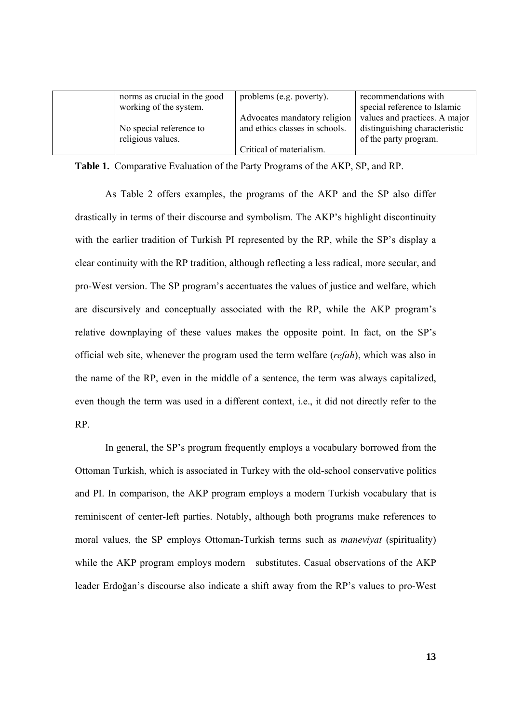| norms as crucial in the good | problems (e.g. poverty).       | recommendations with          |
|------------------------------|--------------------------------|-------------------------------|
| working of the system.       |                                | special reference to Islamic  |
|                              | Advocates mandatory religion   | values and practices. A major |
| No special reference to      | and ethics classes in schools. | distinguishing characteristic |
| religious values.            |                                | of the party program.         |
|                              | Critical of materialism.       |                               |

**Table 1.** Comparative Evaluation of the Party Programs of the AKP, SP, and RP.

 As Table 2 offers examples, the programs of the AKP and the SP also differ drastically in terms of their discourse and symbolism. The AKP's highlight discontinuity with the earlier tradition of Turkish PI represented by the RP, while the SP's display a clear continuity with the RP tradition, although reflecting a less radical, more secular, and pro-West version. The SP program's accentuates the values of justice and welfare, which are discursively and conceptually associated with the RP, while the AKP program's relative downplaying of these values makes the opposite point. In fact, on the SP's official web site, whenever the program used the term welfare (*refah*), which was also in the name of the RP, even in the middle of a sentence, the term was always capitalized, even though the term was used in a different context, i.e., it did not directly refer to the RP.

In general, the SP's program frequently employs a vocabulary borrowed from the Ottoman Turkish, which is associated in Turkey with the old-school conservative politics and PI. In comparison, the AKP program employs a modern Turkish vocabulary that is reminiscent of center-left parties. Notably, although both programs make references to moral values, the SP employs Ottoman-Turkish terms such as *maneviyat* (spirituality) while the AKP program employs modern substitutes. Casual observations of the AKP leader Erdoğan's discourse also indicate a shift away from the RP's values to pro-West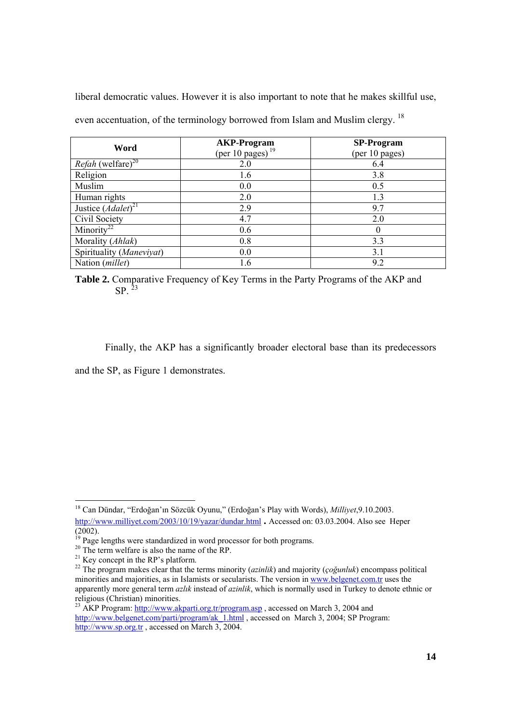liberal democratic values. However it is also important to note that he makes skillful use,

even accentuation, of the terminology borrowed from Islam and Muslim clergy. <sup>18</sup>

| Word                                 | <b>AKP-Program</b><br>(per 10 pages) $^{19}$ | <b>SP-Program</b><br>(per 10 pages) |
|--------------------------------------|----------------------------------------------|-------------------------------------|
| <i>Refah</i> (welfare) <sup>20</sup> | 2.0                                          | 6.4                                 |
| Religion                             | 1.6                                          | 3.8                                 |
| Muslim                               | 0.0                                          | 0.5                                 |
| Human rights                         | 2.0                                          | 1.3                                 |
| Justice $(Adalet)^{21}$              | 2.9                                          | 9.7                                 |
| Civil Society                        | 4.7                                          | 2.0                                 |
| Minority <sup>22</sup>               | 0.6                                          | $\theta$                            |
| Morality (Ahlak)                     | 0.8                                          | 3.3                                 |
| Spirituality (Maneviyat)             | 0.0                                          | 3.1                                 |
| Nation (millet)                      | 1.6                                          | 9.2                                 |

**Table 2.** Comparative Frequency of Key Terms in the Party Programs of the AKP and  $SP<sup>23</sup>$ 

Finally, the AKP has a significantly broader electoral base than its predecessors and the SP, as Figure 1 demonstrates.

<sup>18</sup> Can Dündar, "Erdoğan'ın Sözcük Oyunu," (Erdoğan's Play with Words), *Milliyet*,9.10.2003. http://www.milliyet.com/2003/10/19/yazar/dundar.html **.** Accessed on: 03.03.2004. Also see Heper (2002).

 $19$  Page lengths were standardized in word processor for both programs.

<sup>&</sup>lt;sup>20</sup> The term welfare is also the name of the RP.

 $21$  Key concept in the RP's platform.

<sup>22</sup> The program makes clear that the terms minority (*azinlik*) and majority (*çoğunluk*) encompass political minorities and majorities, as in Islamists or secularists. The version in www.belgenet.com.tr uses the apparently more general term *azlık* instead of *azinlik*, which is normally used in Turkey to denote ethnic or religious (Christian) minorities.

<sup>&</sup>lt;sup>23</sup> AKP Program: http://www.akparti.org.tr/program.asp, accessed on March 3, 2004 and http://www.belgenet.com/parti/program/ak\_1.html , accessed on March 3, 2004; SP Program: http://www.sp.org.tr , accessed on March 3, 2004.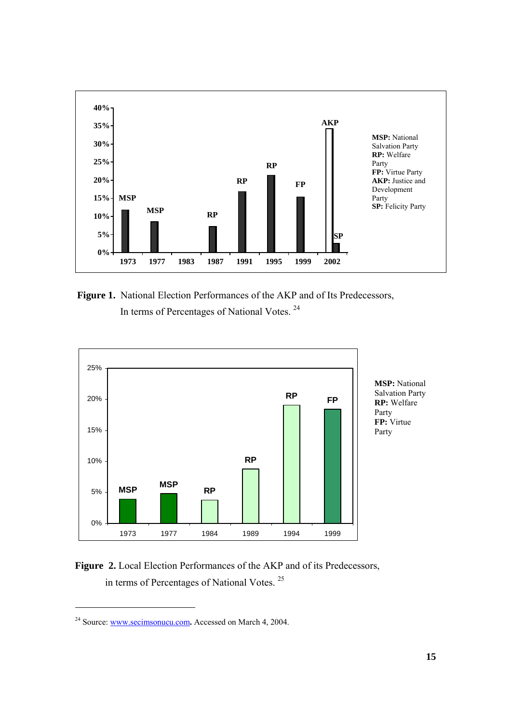

**Figure 1.** National Election Performances of the AKP and of Its Predecessors, In terms of Percentages of National Votes. 24



**MSP:** National Salvation Party **RP:** Welfare Party **FP:** Virtue Party

Figure 2. Local Election Performances of the AKP and of its Predecessors, in terms of Percentages of National Votes. 25

<sup>24</sup> Source: www.secimsonucu.com**.** Accessed on March 4, 2004.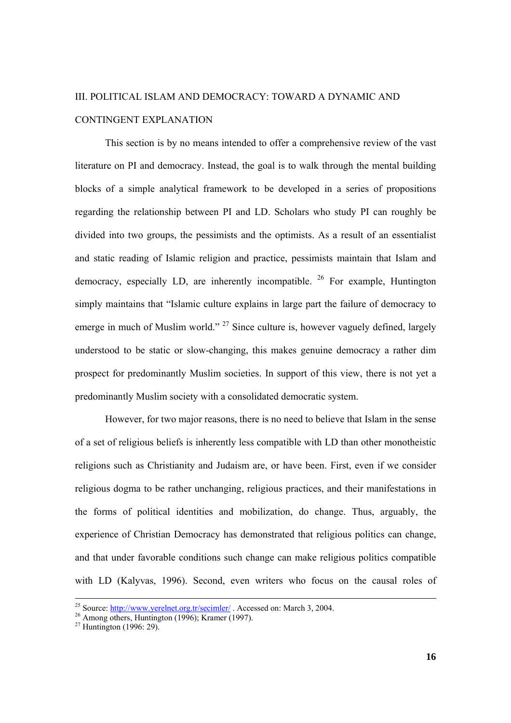# III. POLITICAL ISLAM AND DEMOCRACY: TOWARD A DYNAMIC AND CONTINGENT EXPLANATION

 This section is by no means intended to offer a comprehensive review of the vast literature on PI and democracy. Instead, the goal is to walk through the mental building blocks of a simple analytical framework to be developed in a series of propositions regarding the relationship between PI and LD. Scholars who study PI can roughly be divided into two groups, the pessimists and the optimists. As a result of an essentialist and static reading of Islamic religion and practice, pessimists maintain that Islam and democracy, especially LD, are inherently incompatible.  $^{26}$  For example, Huntington simply maintains that "Islamic culture explains in large part the failure of democracy to emerge in much of Muslim world."  $27$  Since culture is, however vaguely defined, largely understood to be static or slow-changing, this makes genuine democracy a rather dim prospect for predominantly Muslim societies. In support of this view, there is not yet a predominantly Muslim society with a consolidated democratic system.

However, for two major reasons, there is no need to believe that Islam in the sense of a set of religious beliefs is inherently less compatible with LD than other monotheistic religions such as Christianity and Judaism are, or have been. First, even if we consider religious dogma to be rather unchanging, religious practices, and their manifestations in the forms of political identities and mobilization, do change. Thus, arguably, the experience of Christian Democracy has demonstrated that religious politics can change, and that under favorable conditions such change can make religious politics compatible with LD (Kalyvas, 1996). Second, even writers who focus on the causal roles of

<sup>&</sup>lt;sup>25</sup> Source: http://www.yerelnet.org.tr/secimler/ . Accessed on: March 3, 2004.

<sup>26&</sup>lt;br>Among others, Huntington (1996); Kramer (1997).<br><sup>27</sup> Huntington (1996: 29).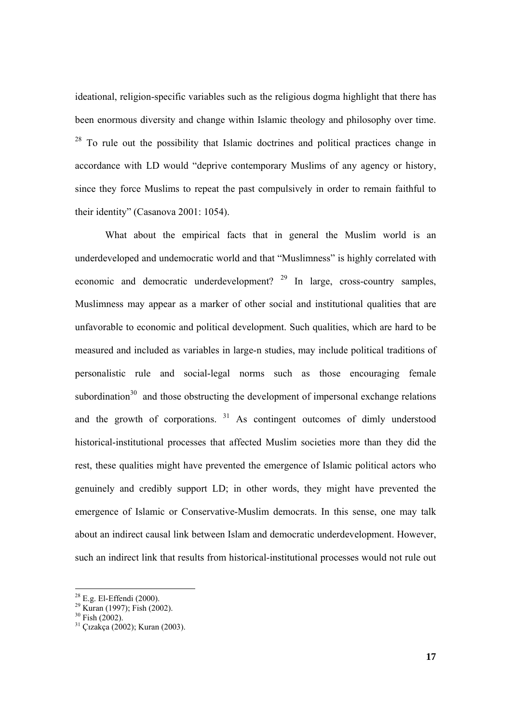ideational, religion-specific variables such as the religious dogma highlight that there has been enormous diversity and change within Islamic theology and philosophy over time.  $28$  To rule out the possibility that Islamic doctrines and political practices change in accordance with LD would "deprive contemporary Muslims of any agency or history, since they force Muslims to repeat the past compulsively in order to remain faithful to their identity" (Casanova 2001: 1054).

What about the empirical facts that in general the Muslim world is an underdeveloped and undemocratic world and that "Muslimness" is highly correlated with economic and democratic underdevelopment?  $29$  In large, cross-country samples, Muslimness may appear as a marker of other social and institutional qualities that are unfavorable to economic and political development. Such qualities, which are hard to be measured and included as variables in large-n studies, may include political traditions of personalistic rule and social-legal norms such as those encouraging female subordination $30$  and those obstructing the development of impersonal exchange relations and the growth of corporations. 31 As contingent outcomes of dimly understood historical-institutional processes that affected Muslim societies more than they did the rest, these qualities might have prevented the emergence of Islamic political actors who genuinely and credibly support LD; in other words, they might have prevented the emergence of Islamic or Conservative-Muslim democrats. In this sense, one may talk about an indirect causal link between Islam and democratic underdevelopment. However, such an indirect link that results from historical-institutional processes would not rule out

 $28$  E.g. El-Effendi (2000).

<sup>29</sup> Kuran (1997); Fish (2002).

 $30$  Fish (2002).

<sup>31</sup> Çızakça (2002); Kuran (2003).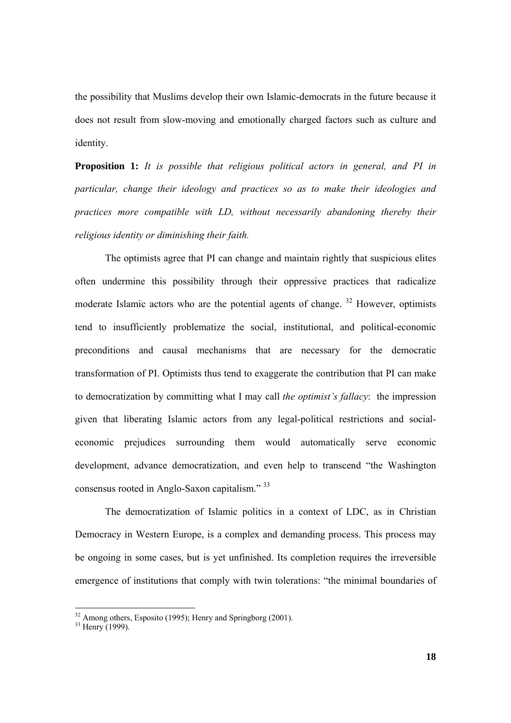the possibility that Muslims develop their own Islamic-democrats in the future because it does not result from slow-moving and emotionally charged factors such as culture and identity.

**Proposition 1:** *It is possible that religious political actors in general, and PI in particular, change their ideology and practices so as to make their ideologies and practices more compatible with LD, without necessarily abandoning thereby their religious identity or diminishing their faith.* 

 The optimists agree that PI can change and maintain rightly that suspicious elites often undermine this possibility through their oppressive practices that radicalize moderate Islamic actors who are the potential agents of change.<sup>32</sup> However, optimists tend to insufficiently problematize the social, institutional, and political-economic preconditions and causal mechanisms that are necessary for the democratic transformation of PI. Optimists thus tend to exaggerate the contribution that PI can make to democratization by committing what I may call *the optimist's fallacy*: the impression given that liberating Islamic actors from any legal-political restrictions and socialeconomic prejudices surrounding them would automatically serve economic development, advance democratization, and even help to transcend "the Washington consensus rooted in Anglo-Saxon capitalism." 33

 The democratization of Islamic politics in a context of LDC, as in Christian Democracy in Western Europe, is a complex and demanding process. This process may be ongoing in some cases, but is yet unfinished. Its completion requires the irreversible emergence of institutions that comply with twin tolerations: "the minimal boundaries of

 $32$  Among others, Esposito (1995); Henry and Springborg (2001).

<sup>&</sup>lt;sup>33</sup> Henry (1999).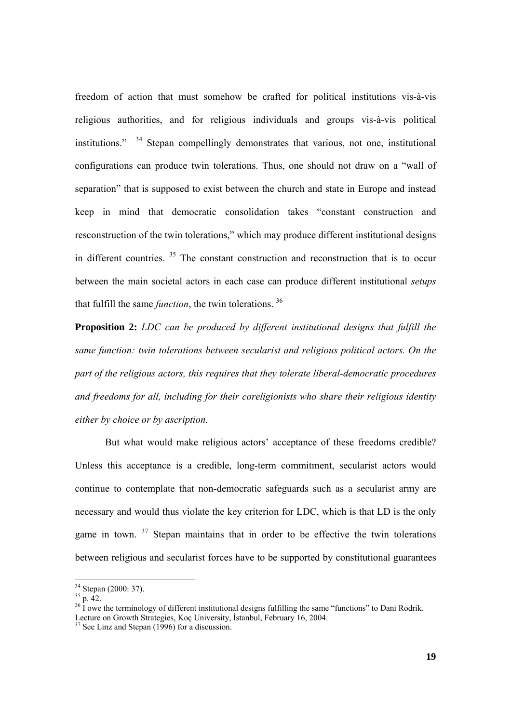freedom of action that must somehow be crafted for political institutions vis-à-vis religious authorities, and for religious individuals and groups vis-à-vis political institutions."  $34$  Stepan compellingly demonstrates that various, not one, institutional configurations can produce twin tolerations. Thus, one should not draw on a "wall of separation" that is supposed to exist between the church and state in Europe and instead keep in mind that democratic consolidation takes "constant construction and resconstruction of the twin tolerations," which may produce different institutional designs in different countries.  $35$  The constant construction and reconstruction that is to occur between the main societal actors in each case can produce different institutional *setups* that fulfill the same *function*, the twin tolerations. 36

**Proposition 2:** *LDC can be produced by different institutional designs that fulfill the same function: twin tolerations between secularist and religious political actors. On the part of the religious actors, this requires that they tolerate liberal-democratic procedures and freedoms for all, including for their coreligionists who share their religious identity either by choice or by ascription.*

But what would make religious actors' acceptance of these freedoms credible? Unless this acceptance is a credible, long-term commitment, secularist actors would continue to contemplate that non-democratic safeguards such as a secularist army are necessary and would thus violate the key criterion for LDC, which is that LD is the only game in town.  $37$  Stepan maintains that in order to be effective the twin tolerations between religious and secularist forces have to be supported by constitutional guarantees

 $34$  Stepan (2000: 37).

 $35\frac{1}{p}$ , 42.

 $36 \text{ I}$  owe the terminology of different institutional designs fulfilling the same "functions" to Dani Rodrik. Lecture on Growth Strategies, Koç University, İstanbul, February 16, 2004.<br><sup>37</sup> See Linz and Stepan (1996) for a discussion.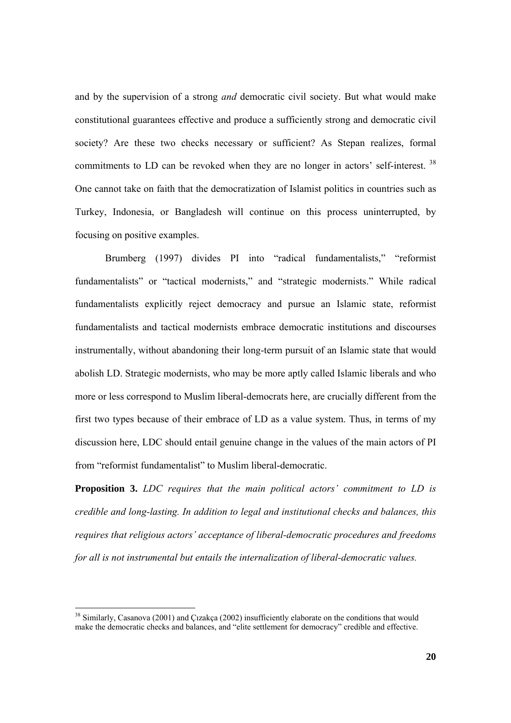and by the supervision of a strong *and* democratic civil society. But what would make constitutional guarantees effective and produce a sufficiently strong and democratic civil society? Are these two checks necessary or sufficient? As Stepan realizes, formal commitments to LD can be revoked when they are no longer in actors' self-interest.<sup>38</sup> One cannot take on faith that the democratization of Islamist politics in countries such as Turkey, Indonesia, or Bangladesh will continue on this process uninterrupted, by focusing on positive examples.

 Brumberg (1997) divides PI into "radical fundamentalists," "reformist fundamentalists" or "tactical modernists," and "strategic modernists." While radical fundamentalists explicitly reject democracy and pursue an Islamic state, reformist fundamentalists and tactical modernists embrace democratic institutions and discourses instrumentally, without abandoning their long-term pursuit of an Islamic state that would abolish LD. Strategic modernists, who may be more aptly called Islamic liberals and who more or less correspond to Muslim liberal-democrats here, are crucially different from the first two types because of their embrace of LD as a value system. Thus, in terms of my discussion here, LDC should entail genuine change in the values of the main actors of PI from "reformist fundamentalist" to Muslim liberal-democratic.

**Proposition 3.** *LDC requires that the main political actors' commitment to LD is credible and long-lasting. In addition to legal and institutional checks and balances, this requires that religious actors' acceptance of liberal-democratic procedures and freedoms for all is not instrumental but entails the internalization of liberal-democratic values.* 

<sup>&</sup>lt;sup>38</sup> Similarly, Casanova (2001) and Çızakça (2002) insufficiently elaborate on the conditions that would make the democratic checks and balances, and "elite settlement for democracy" credible and effective.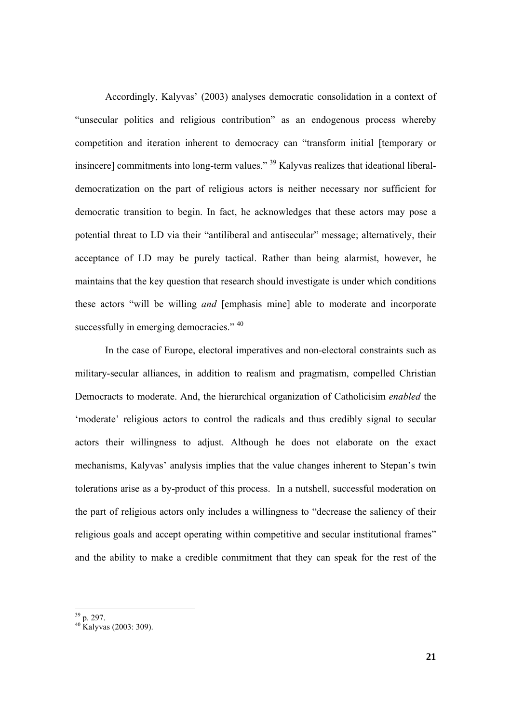Accordingly, Kalyvas' (2003) analyses democratic consolidation in a context of "unsecular politics and religious contribution" as an endogenous process whereby competition and iteration inherent to democracy can "transform initial [temporary or insincere] commitments into long-term values." 39 Kalyvas realizes that ideational liberaldemocratization on the part of religious actors is neither necessary nor sufficient for democratic transition to begin. In fact, he acknowledges that these actors may pose a potential threat to LD via their "antiliberal and antisecular" message; alternatively, their acceptance of LD may be purely tactical. Rather than being alarmist, however, he maintains that the key question that research should investigate is under which conditions these actors "will be willing *and* [emphasis mine] able to moderate and incorporate successfully in emerging democracies." <sup>40</sup>

In the case of Europe, electoral imperatives and non-electoral constraints such as military-secular alliances, in addition to realism and pragmatism, compelled Christian Democracts to moderate. And, the hierarchical organization of Catholicisim *enabled* the 'moderate' religious actors to control the radicals and thus credibly signal to secular actors their willingness to adjust. Although he does not elaborate on the exact mechanisms, Kalyvas' analysis implies that the value changes inherent to Stepan's twin tolerations arise as a by-product of this process. In a nutshell, successful moderation on the part of religious actors only includes a willingness to "decrease the saliency of their religious goals and accept operating within competitive and secular institutional frames" and the ability to make a credible commitment that they can speak for the rest of the

  $39$  p. 297.

 $40$  Kalyvas (2003: 309).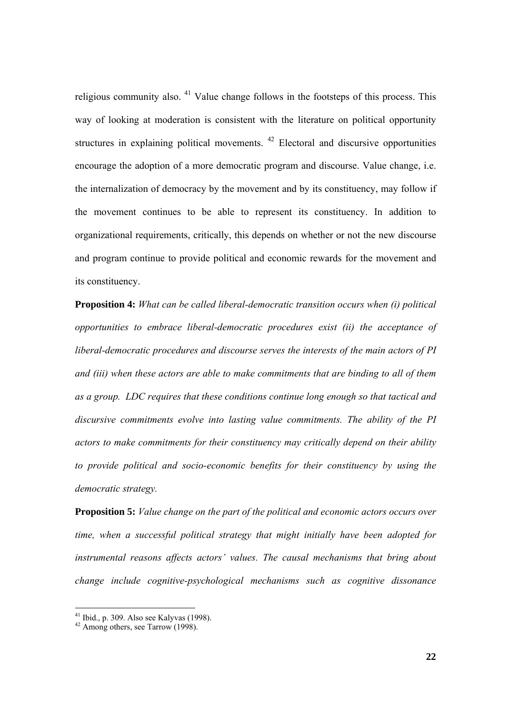religious community also.  $41$  Value change follows in the footsteps of this process. This way of looking at moderation is consistent with the literature on political opportunity structures in explaining political movements.  $42$  Electoral and discursive opportunities encourage the adoption of a more democratic program and discourse. Value change, i.e. the internalization of democracy by the movement and by its constituency, may follow if the movement continues to be able to represent its constituency. In addition to organizational requirements, critically, this depends on whether or not the new discourse and program continue to provide political and economic rewards for the movement and its constituency.

**Proposition 4:** *What can be called liberal-democratic transition occurs when (i) political opportunities to embrace liberal-democratic procedures exist (ii) the acceptance of liberal-democratic procedures and discourse serves the interests of the main actors of PI and (iii) when these actors are able to make commitments that are binding to all of them as a group. LDC requires that these conditions continue long enough so that tactical and discursive commitments evolve into lasting value commitments. The ability of the PI actors to make commitments for their constituency may critically depend on their ability to provide political and socio-economic benefits for their constituency by using the democratic strategy.* 

**Proposition 5:** *Value change on the part of the political and economic actors occurs over time, when a successful political strategy that might initially have been adopted for instrumental reasons affects actors' values. The causal mechanisms that bring about change include cognitive-psychological mechanisms such as cognitive dissonance* 

 $41$  Ibid., p. 309. Also see Kalyvas (1998).

 $42$  Among others, see Tarrow (1998).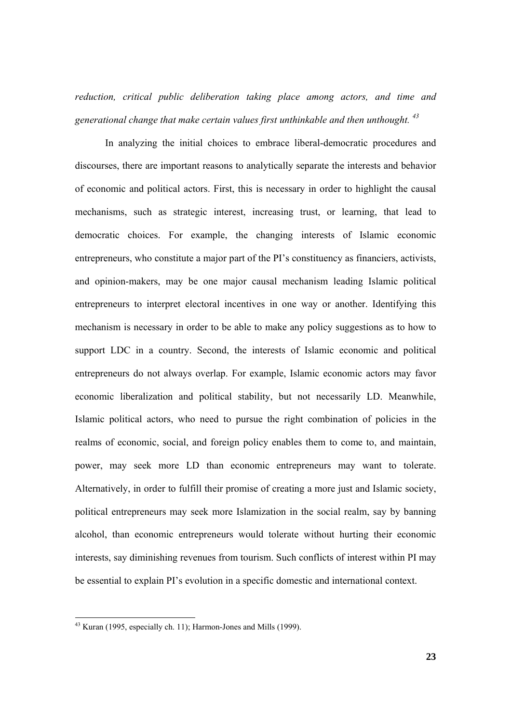*reduction, critical public deliberation taking place among actors, and time and generational change that make certain values first unthinkable and then unthought. <sup>43</sup>*

 In analyzing the initial choices to embrace liberal-democratic procedures and discourses, there are important reasons to analytically separate the interests and behavior of economic and political actors. First, this is necessary in order to highlight the causal mechanisms, such as strategic interest, increasing trust, or learning, that lead to democratic choices. For example, the changing interests of Islamic economic entrepreneurs, who constitute a major part of the PI's constituency as financiers, activists, and opinion-makers, may be one major causal mechanism leading Islamic political entrepreneurs to interpret electoral incentives in one way or another. Identifying this mechanism is necessary in order to be able to make any policy suggestions as to how to support LDC in a country. Second, the interests of Islamic economic and political entrepreneurs do not always overlap. For example, Islamic economic actors may favor economic liberalization and political stability, but not necessarily LD. Meanwhile, Islamic political actors, who need to pursue the right combination of policies in the realms of economic, social, and foreign policy enables them to come to, and maintain, power, may seek more LD than economic entrepreneurs may want to tolerate. Alternatively, in order to fulfill their promise of creating a more just and Islamic society, political entrepreneurs may seek more Islamization in the social realm, say by banning alcohol, than economic entrepreneurs would tolerate without hurting their economic interests, say diminishing revenues from tourism. Such conflicts of interest within PI may be essential to explain PI's evolution in a specific domestic and international context.

 $43$  Kuran (1995, especially ch. 11); Harmon-Jones and Mills (1999).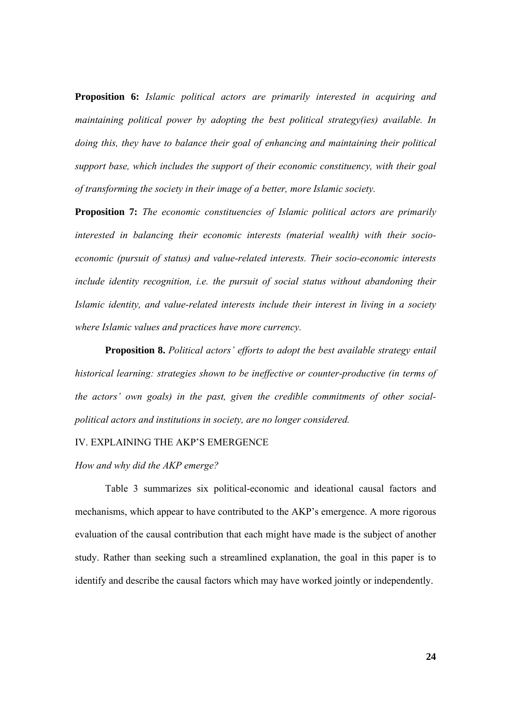**Proposition 6:** *Islamic political actors are primarily interested in acquiring and maintaining political power by adopting the best political strategy(ies) available. In doing this, they have to balance their goal of enhancing and maintaining their political support base, which includes the support of their economic constituency, with their goal of transforming the society in their image of a better, more Islamic society.* 

**Proposition 7:** *The economic constituencies of Islamic political actors are primarily interested in balancing their economic interests (material wealth) with their socioeconomic (pursuit of status) and value-related interests. Their socio-economic interests include identity recognition, i.e. the pursuit of social status without abandoning their Islamic identity, and value-related interests include their interest in living in a society where Islamic values and practices have more currency.* 

**Proposition 8.** *Political actors' efforts to adopt the best available strategy entail historical learning: strategies shown to be ineffective or counter-productive (in terms of the actors' own goals) in the past, given the credible commitments of other socialpolitical actors and institutions in society, are no longer considered.* 

IV. EXPLAINING THE AKP'S EMERGENCE

*How and why did the AKP emerge?* 

Table 3 summarizes six political-economic and ideational causal factors and mechanisms, which appear to have contributed to the AKP's emergence. A more rigorous evaluation of the causal contribution that each might have made is the subject of another study. Rather than seeking such a streamlined explanation, the goal in this paper is to identify and describe the causal factors which may have worked jointly or independently.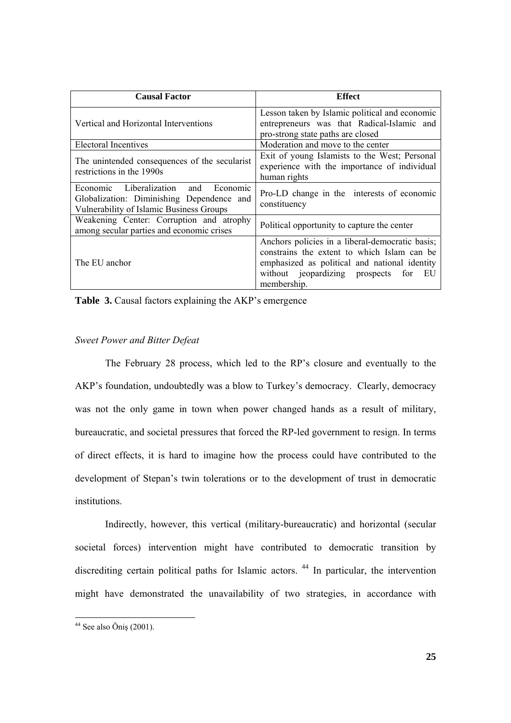| <b>Causal Factor</b>                                                                                                          | <b>Effect</b>                                                                                                                                                                                              |
|-------------------------------------------------------------------------------------------------------------------------------|------------------------------------------------------------------------------------------------------------------------------------------------------------------------------------------------------------|
| Vertical and Horizontal Interventions                                                                                         | Lesson taken by Islamic political and economic<br>entrepreneurs was that Radical-Islamic and<br>pro-strong state paths are closed                                                                          |
| Electoral Incentives                                                                                                          | Moderation and move to the center                                                                                                                                                                          |
| The unintended consequences of the secularist<br>restrictions in the 1990s                                                    | Exit of young Islamists to the West; Personal<br>experience with the importance of individual<br>human rights                                                                                              |
| Economic Liberalization and Economic<br>Globalization: Diminishing Dependence and<br>Vulnerability of Islamic Business Groups | Pro-LD change in the interests of economic<br>constituency                                                                                                                                                 |
| Weakening Center: Corruption and atrophy<br>among secular parties and economic crises                                         | Political opportunity to capture the center                                                                                                                                                                |
| The EU anchor                                                                                                                 | Anchors policies in a liberal-democratic basis;<br>constrains the extent to which Islam can be<br>emphasized as political and national identity<br>without jeopardizing prospects for<br>ЕU<br>membership. |

**Table 3.** Causal factors explaining the AKP's emergence

# *Sweet Power and Bitter Defeat*

The February 28 process, which led to the RP's closure and eventually to the AKP's foundation, undoubtedly was a blow to Turkey's democracy. Clearly, democracy was not the only game in town when power changed hands as a result of military, bureaucratic, and societal pressures that forced the RP-led government to resign. In terms of direct effects, it is hard to imagine how the process could have contributed to the development of Stepan's twin tolerations or to the development of trust in democratic institutions.

Indirectly, however, this vertical (military-bureaucratic) and horizontal (secular societal forces) intervention might have contributed to democratic transition by discrediting certain political paths for Islamic actors.<sup>44</sup> In particular, the intervention might have demonstrated the unavailability of two strategies, in accordance with

  $44$  See also Öniş (2001).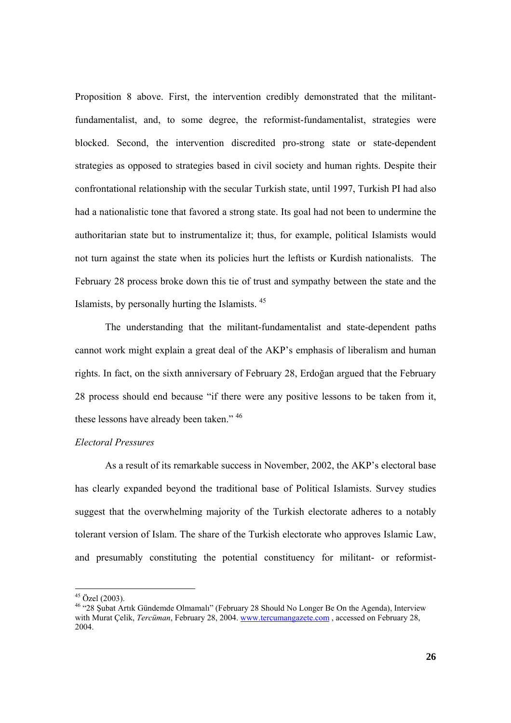Proposition 8 above. First, the intervention credibly demonstrated that the militantfundamentalist, and, to some degree, the reformist-fundamentalist, strategies were blocked. Second, the intervention discredited pro-strong state or state-dependent strategies as opposed to strategies based in civil society and human rights. Despite their confrontational relationship with the secular Turkish state, until 1997, Turkish PI had also had a nationalistic tone that favored a strong state. Its goal had not been to undermine the authoritarian state but to instrumentalize it; thus, for example, political Islamists would not turn against the state when its policies hurt the leftists or Kurdish nationalists. The February 28 process broke down this tie of trust and sympathy between the state and the Islamists, by personally hurting the Islamists. 45

The understanding that the militant-fundamentalist and state-dependent paths cannot work might explain a great deal of the AKP's emphasis of liberalism and human rights. In fact, on the sixth anniversary of February 28, Erdoğan argued that the February 28 process should end because "if there were any positive lessons to be taken from it, these lessons have already been taken." 46

### *Electoral Pressures*

 As a result of its remarkable success in November, 2002, the AKP's electoral base has clearly expanded beyond the traditional base of Political Islamists. Survey studies suggest that the overwhelming majority of the Turkish electorate adheres to a notably tolerant version of Islam. The share of the Turkish electorate who approves Islamic Law, and presumably constituting the potential constituency for militant- or reformist-

 $45$  Özel (2003).

<sup>46 &</sup>quot;28 Şubat Artık Gündemde Olmamalı" (February 28 Should No Longer Be On the Agenda), Interview with Murat Çelik, *Tercüman*, February 28, 2004. www.tercumangazete.com, accessed on February 28, 2004.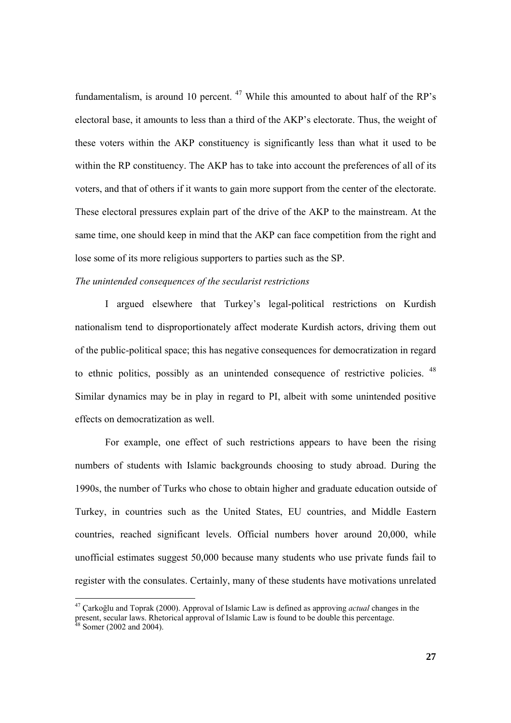fundamentalism, is around 10 percent.  $47$  While this amounted to about half of the RP's electoral base, it amounts to less than a third of the AKP's electorate. Thus, the weight of these voters within the AKP constituency is significantly less than what it used to be within the RP constituency. The AKP has to take into account the preferences of all of its voters, and that of others if it wants to gain more support from the center of the electorate. These electoral pressures explain part of the drive of the AKP to the mainstream. At the same time, one should keep in mind that the AKP can face competition from the right and lose some of its more religious supporters to parties such as the SP.

# *The unintended consequences of the secularist restrictions*

 I argued elsewhere that Turkey's legal-political restrictions on Kurdish nationalism tend to disproportionately affect moderate Kurdish actors, driving them out of the public-political space; this has negative consequences for democratization in regard to ethnic politics, possibly as an unintended consequence of restrictive policies. <sup>48</sup> Similar dynamics may be in play in regard to PI, albeit with some unintended positive effects on democratization as well.

 For example, one effect of such restrictions appears to have been the rising numbers of students with Islamic backgrounds choosing to study abroad. During the 1990s, the number of Turks who chose to obtain higher and graduate education outside of Turkey, in countries such as the United States, EU countries, and Middle Eastern countries, reached significant levels. Official numbers hover around 20,000, while unofficial estimates suggest 50,000 because many students who use private funds fail to register with the consulates. Certainly, many of these students have motivations unrelated

<sup>47</sup> Çarkoğlu and Toprak (2000). Approval of Islamic Law is defined as approving *actual* changes in the present, secular laws. Rhetorical approval of Islamic Law is defined as approving *actual* change.  $8 \text{ Somer}$  (2002 and 2004).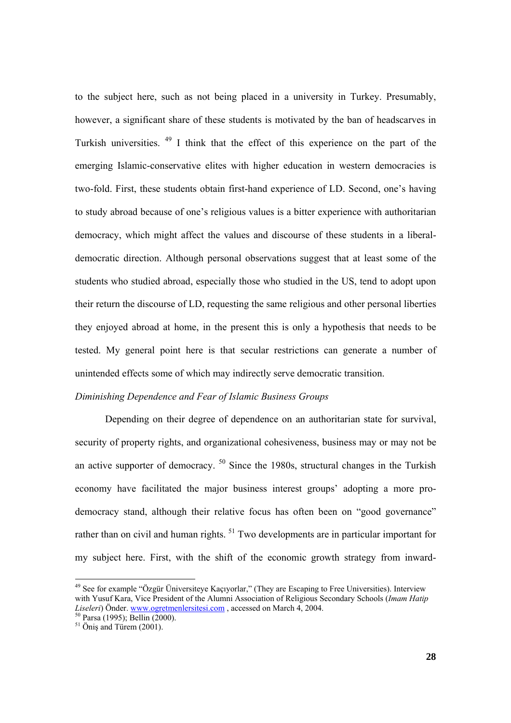to the subject here, such as not being placed in a university in Turkey. Presumably, however, a significant share of these students is motivated by the ban of headscarves in Turkish universities. 49 I think that the effect of this experience on the part of the emerging Islamic-conservative elites with higher education in western democracies is two-fold. First, these students obtain first-hand experience of LD. Second, one's having to study abroad because of one's religious values is a bitter experience with authoritarian democracy, which might affect the values and discourse of these students in a liberaldemocratic direction. Although personal observations suggest that at least some of the students who studied abroad, especially those who studied in the US, tend to adopt upon their return the discourse of LD, requesting the same religious and other personal liberties they enjoyed abroad at home, in the present this is only a hypothesis that needs to be tested. My general point here is that secular restrictions can generate a number of unintended effects some of which may indirectly serve democratic transition.

# *Diminishing Dependence and Fear of Islamic Business Groups*

 Depending on their degree of dependence on an authoritarian state for survival, security of property rights, and organizational cohesiveness, business may or may not be an active supporter of democracy.  $50$  Since the 1980s, structural changes in the Turkish economy have facilitated the major business interest groups' adopting a more prodemocracy stand, although their relative focus has often been on "good governance" rather than on civil and human rights.<sup>51</sup> Two developments are in particular important for my subject here. First, with the shift of the economic growth strategy from inward-

<sup>&</sup>lt;sup>49</sup> See for example "Özgür Üniversiteye Kaçıyorlar," (They are Escaping to Free Universities). Interview with Yusuf Kara, Vice President of the Alumni Association of Religious Secondary Schools (*Imam Hatip Liseleri*) Önder. www.ogretmenlersitesi.com , accessed on March 4, 2004.<br><sup>50</sup> Parsa (1995); Bellin (2000).

 $51$  Önis and Türem (2001).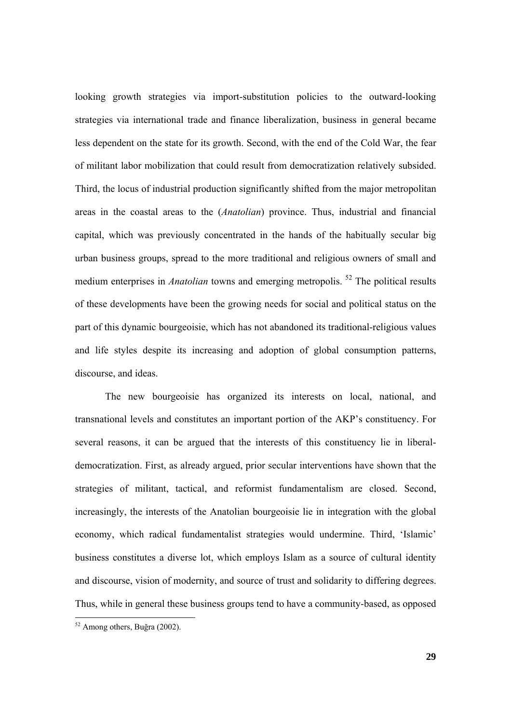looking growth strategies via import-substitution policies to the outward-looking strategies via international trade and finance liberalization, business in general became less dependent on the state for its growth. Second, with the end of the Cold War, the fear of militant labor mobilization that could result from democratization relatively subsided. Third, the locus of industrial production significantly shifted from the major metropolitan areas in the coastal areas to the (*Anatolian*) province. Thus, industrial and financial capital, which was previously concentrated in the hands of the habitually secular big urban business groups, spread to the more traditional and religious owners of small and medium enterprises in *Anatolian* towns and emerging metropolis.<sup>52</sup> The political results of these developments have been the growing needs for social and political status on the part of this dynamic bourgeoisie, which has not abandoned its traditional-religious values and life styles despite its increasing and adoption of global consumption patterns, discourse, and ideas.

 The new bourgeoisie has organized its interests on local, national, and transnational levels and constitutes an important portion of the AKP's constituency. For several reasons, it can be argued that the interests of this constituency lie in liberaldemocratization. First, as already argued, prior secular interventions have shown that the strategies of militant, tactical, and reformist fundamentalism are closed. Second, increasingly, the interests of the Anatolian bourgeoisie lie in integration with the global economy, which radical fundamentalist strategies would undermine. Third, 'Islamic' business constitutes a diverse lot, which employs Islam as a source of cultural identity and discourse, vision of modernity, and source of trust and solidarity to differing degrees. Thus, while in general these business groups tend to have a community-based, as opposed

<sup>52</sup> Among others, Buğra (2002).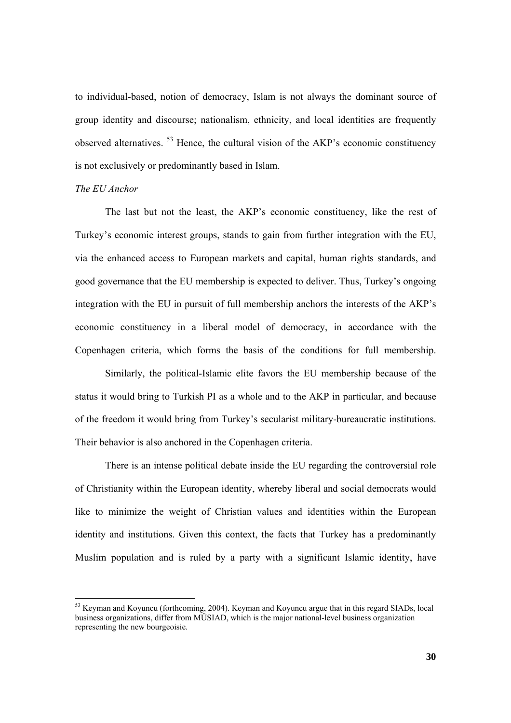to individual-based, notion of democracy, Islam is not always the dominant source of group identity and discourse; nationalism, ethnicity, and local identities are frequently observed alternatives. <sup>53</sup> Hence, the cultural vision of the AKP's economic constituency is not exclusively or predominantly based in Islam.

### *The EU Anchor*

 The last but not the least, the AKP's economic constituency, like the rest of Turkey's economic interest groups, stands to gain from further integration with the EU, via the enhanced access to European markets and capital, human rights standards, and good governance that the EU membership is expected to deliver. Thus, Turkey's ongoing integration with the EU in pursuit of full membership anchors the interests of the AKP's economic constituency in a liberal model of democracy, in accordance with the Copenhagen criteria, which forms the basis of the conditions for full membership.

 Similarly, the political-Islamic elite favors the EU membership because of the status it would bring to Turkish PI as a whole and to the AKP in particular, and because of the freedom it would bring from Turkey's secularist military-bureaucratic institutions. Their behavior is also anchored in the Copenhagen criteria.

 There is an intense political debate inside the EU regarding the controversial role of Christianity within the European identity, whereby liberal and social democrats would like to minimize the weight of Christian values and identities within the European identity and institutions. Given this context, the facts that Turkey has a predominantly Muslim population and is ruled by a party with a significant Islamic identity, have

<sup>53</sup> Keyman and Koyuncu (forthcoming, 2004). Keyman and Koyuncu argue that in this regard SIADs, local business organizations, differ from MÜSIAD, which is the major national-level business organization representing the new bourgeoisie.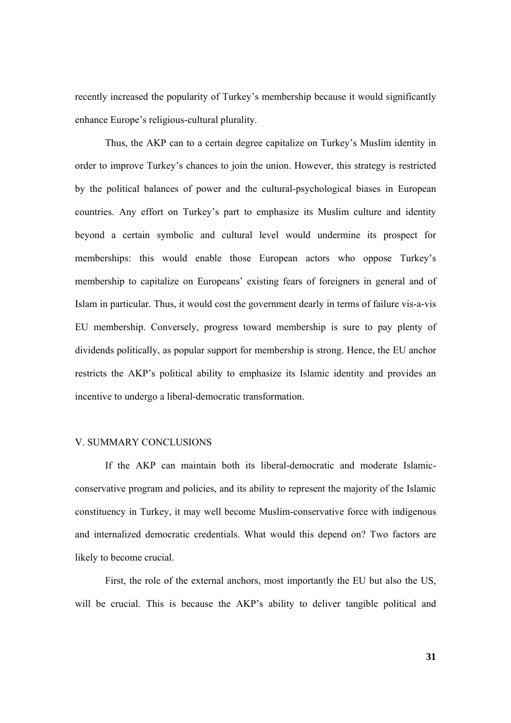recently increased the popularity of Turkey's membership because it would significantly enhance Europe's religious-cultural plurality.

 Thus, the AKP can to a certain degree capitalize on Turkey's Muslim identity in order to improve Turkey's chances to join the union. However, this strategy is restricted by the political balances of power and the cultural-psychological biases in European countries. Any effort on Turkey's part to emphasize its Muslim culture and identity beyond a certain symbolic and cultural level would undermine its prospect for memberships: this would enable those European actors who oppose Turkey's membership to capitalize on Europeans' existing fears of foreigners in general and of Islam in particular. Thus, it would cost the government dearly in terms of failure vis-a-vis EU membership. Conversely, progress toward membership is sure to pay plenty of dividends politically, as popular support for membership is strong. Hence, the EU anchor restricts the AKP's political ability to emphasize its Islamic identity and provides an incentive to undergo a liberal-democratic transformation.

### V. SUMMARY CONCLUSIONS

If the AKP can maintain both its liberal-democratic and moderate Islamicconservative program and policies, and its ability to represent the majority of the Islamic constituency in Turkey, it may well become Muslim-conservative force with indigenous and internalized democratic credentials. What would this depend on? Two factors are likely to become crucial.

First, the role of the external anchors, most importantly the EU but also the US, will be crucial. This is because the AKP's ability to deliver tangible political and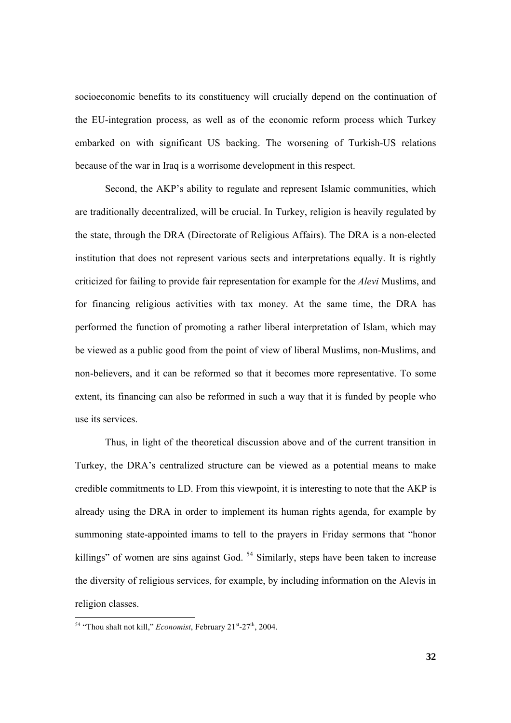socioeconomic benefits to its constituency will crucially depend on the continuation of the EU-integration process, as well as of the economic reform process which Turkey embarked on with significant US backing. The worsening of Turkish-US relations because of the war in Iraq is a worrisome development in this respect.

 Second, the AKP's ability to regulate and represent Islamic communities, which are traditionally decentralized, will be crucial. In Turkey, religion is heavily regulated by the state, through the DRA (Directorate of Religious Affairs). The DRA is a non-elected institution that does not represent various sects and interpretations equally. It is rightly criticized for failing to provide fair representation for example for the *Alevi* Muslims, and for financing religious activities with tax money. At the same time, the DRA has performed the function of promoting a rather liberal interpretation of Islam, which may be viewed as a public good from the point of view of liberal Muslims, non-Muslims, and non-believers, and it can be reformed so that it becomes more representative. To some extent, its financing can also be reformed in such a way that it is funded by people who use its services.

Thus, in light of the theoretical discussion above and of the current transition in Turkey, the DRA's centralized structure can be viewed as a potential means to make credible commitments to LD. From this viewpoint, it is interesting to note that the AKP is already using the DRA in order to implement its human rights agenda, for example by summoning state-appointed imams to tell to the prayers in Friday sermons that "honor killings" of women are sins against God. <sup>54</sup> Similarly, steps have been taken to increase the diversity of religious services, for example, by including information on the Alevis in religion classes.

<sup>&</sup>lt;sup>54</sup> "Thou shalt not kill," *Economist*, February 21<sup>st</sup>-27<sup>th</sup>, 2004.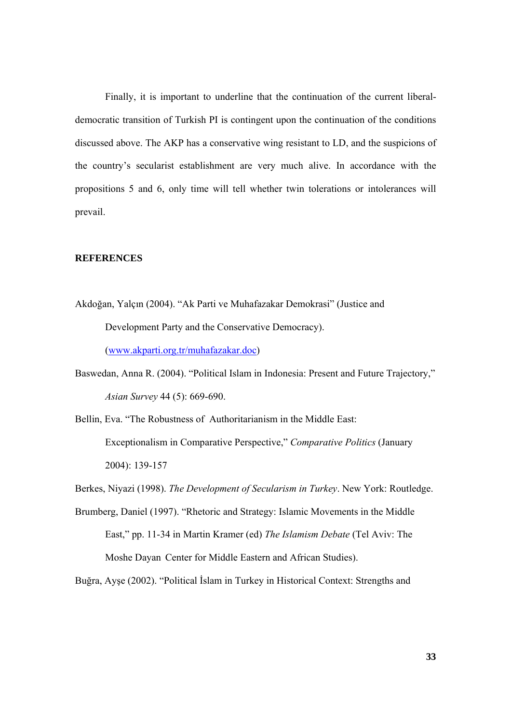Finally, it is important to underline that the continuation of the current liberaldemocratic transition of Turkish PI is contingent upon the continuation of the conditions discussed above. The AKP has a conservative wing resistant to LD, and the suspicions of the country's secularist establishment are very much alive. In accordance with the propositions 5 and 6, only time will tell whether twin tolerations or intolerances will prevail.

## **REFERENCES**

- Akdoğan, Yalçın (2004). "Ak Parti ve Muhafazakar Demokrasi" (Justice and Development Party and the Conservative Democracy). (www.akparti.org.tr/muhafazakar.doc)
- Baswedan, Anna R. (2004). "Political Islam in Indonesia: Present and Future Trajectory," *Asian Survey* 44 (5): 669-690.
- Bellin, Eva. "The Robustness of Authoritarianism in the Middle East: Exceptionalism in Comparative Perspective," *Comparative Politics* (January 2004): 139-157
- Berkes, Niyazi (1998). *The Development of Secularism in Turkey*. New York: Routledge.
- Brumberg, Daniel (1997). "Rhetoric and Strategy: Islamic Movements in the Middle East," pp. 11-34 in Martin Kramer (ed) *The Islamism Debate* (Tel Aviv: The Moshe Dayan Center for Middle Eastern and African Studies).

Buğra, Ayşe (2002). "Political İslam in Turkey in Historical Context: Strengths and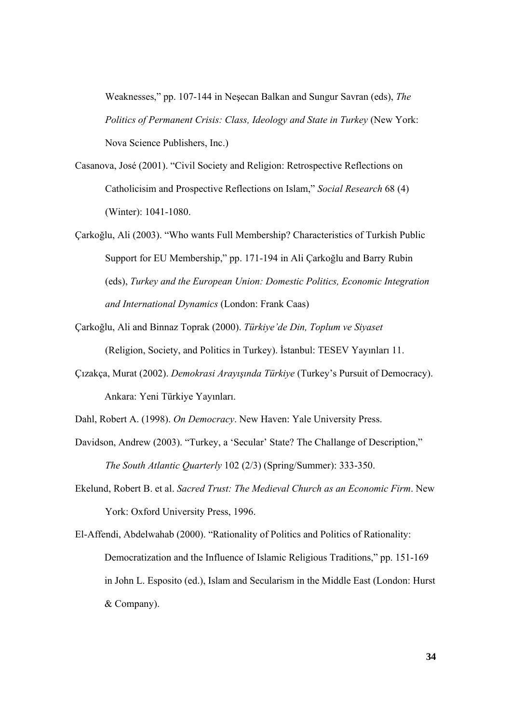Weaknesses," pp. 107-144 in Neşecan Balkan and Sungur Savran (eds), *The Politics of Permanent Crisis: Class, Ideology and State in Turkey* (New York: Nova Science Publishers, Inc.)

- Casanova, José (2001). "Civil Society and Religion: Retrospective Reflections on Catholicisim and Prospective Reflections on Islam," *Social Research* 68 (4) (Winter): 1041-1080.
- Çarkoğlu, Ali (2003). "Who wants Full Membership? Characteristics of Turkish Public Support for EU Membership," pp. 171-194 in Ali Çarkoğlu and Barry Rubin (eds), *Turkey and the European Union: Domestic Politics, Economic Integration and International Dynamics* (London: Frank Caas)
- Çarkoğlu, Ali and Binnaz Toprak (2000). *Türkiye'de Din, Toplum ve Siyaset* (Religion, Society, and Politics in Turkey). İstanbul: TESEV Yayınları 11.
- Çızakça, Murat (2002). *Demokrasi Arayışında Türkiye* (Turkey's Pursuit of Democracy). Ankara: Yeni Türkiye Yayınları.
- Dahl, Robert A. (1998). *On Democracy*. New Haven: Yale University Press.
- Davidson, Andrew (2003). "Turkey, a 'Secular' State? The Challange of Description," *The South Atlantic Quarterly* 102 (2/3) (Spring/Summer): 333-350.
- Ekelund, Robert B. et al. *Sacred Trust: The Medieval Church as an Economic Firm*. New York: Oxford University Press, 1996.

El-Affendi, Abdelwahab (2000). "Rationality of Politics and Politics of Rationality: Democratization and the Influence of Islamic Religious Traditions," pp. 151-169 in John L. Esposito (ed.), Islam and Secularism in the Middle East (London: Hurst & Company).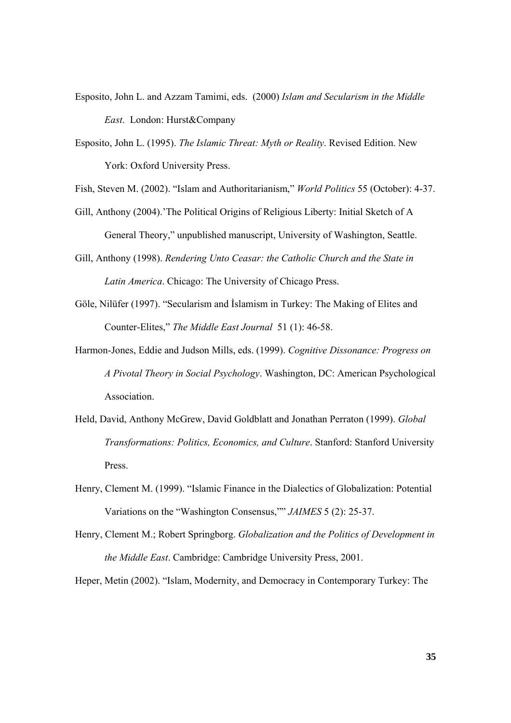- Esposito, John L. and Azzam Tamimi, eds. (2000) *Islam and Secularism in the Middle East*. London: Hurst&Company
- Esposito, John L. (1995). *The Islamic Threat: Myth or Reality*. Revised Edition. New York: Oxford University Press.
- Fish, Steven M. (2002). "Islam and Authoritarianism," *World Politics* 55 (October): 4-37.
- Gill, Anthony (2004).'The Political Origins of Religious Liberty: Initial Sketch of A General Theory," unpublished manuscript, University of Washington, Seattle.
- Gill, Anthony (1998). *Rendering Unto Ceasar: the Catholic Church and the State in Latin America*. Chicago: The University of Chicago Press.
- Göle, Nilüfer (1997). "Secularism and İslamism in Turkey: The Making of Elites and Counter-Elites," *The Middle East Journal* 51 (1): 46-58.
- Harmon-Jones, Eddie and Judson Mills, eds. (1999). *Cognitive Dissonance: Progress on A Pivotal Theory in Social Psychology*. Washington, DC: American Psychological Association.
- Held, David, Anthony McGrew, David Goldblatt and Jonathan Perraton (1999). *Global Transformations: Politics, Economics, and Culture*. Stanford: Stanford University Press.
- Henry, Clement M. (1999). "Islamic Finance in the Dialectics of Globalization: Potential Variations on the "Washington Consensus,"" *JAIMES* 5 (2): 25-37.
- Henry, Clement M.; Robert Springborg. *Globalization and the Politics of Development in the Middle East*. Cambridge: Cambridge University Press, 2001.

Heper, Metin (2002). "Islam, Modernity, and Democracy in Contemporary Turkey: The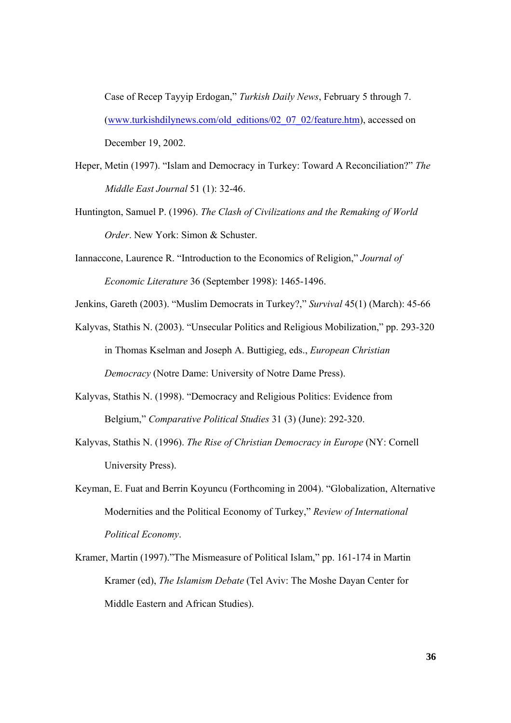Case of Recep Tayyip Erdogan," *Turkish Daily News*, February 5 through 7. (www.turkishdilynews.com/old\_editions/02\_07\_02/feature.htm), accessed on December 19, 2002.

- Heper, Metin (1997). "Islam and Democracy in Turkey: Toward A Reconciliation?" *The Middle East Journal* 51 (1): 32-46.
- Huntington, Samuel P. (1996). *The Clash of Civilizations and the Remaking of World Order*. New York: Simon & Schuster.
- Iannaccone, Laurence R. "Introduction to the Economics of Religion," *Journal of Economic Literature* 36 (September 1998): 1465-1496.
- Jenkins, Gareth (2003). "Muslim Democrats in Turkey?," *Survival* 45(1) (March): 45-66
- Kalyvas, Stathis N. (2003). "Unsecular Politics and Religious Mobilization," pp. 293-320 in Thomas Kselman and Joseph A. Buttigieg, eds., *European Christian Democracy* (Notre Dame: University of Notre Dame Press).
- Kalyvas, Stathis N. (1998). "Democracy and Religious Politics: Evidence from Belgium," *Comparative Political Studies* 31 (3) (June): 292-320.
- Kalyvas, Stathis N. (1996). *The Rise of Christian Democracy in Europe* (NY: Cornell University Press).
- Keyman, E. Fuat and Berrin Koyuncu (Forthcoming in 2004). "Globalization, Alternative Modernities and the Political Economy of Turkey," *Review of International Political Economy*.
- Kramer, Martin (1997)."The Mismeasure of Political Islam," pp. 161-174 in Martin Kramer (ed), *The Islamism Debate* (Tel Aviv: The Moshe Dayan Center for Middle Eastern and African Studies).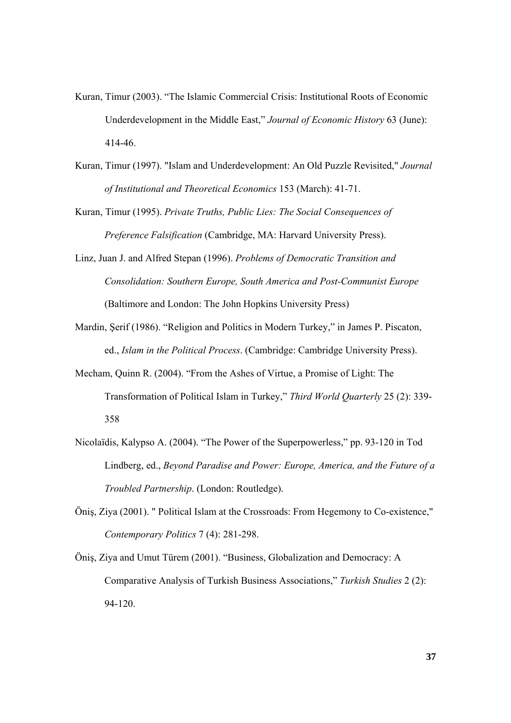- Kuran, Timur (2003). "The Islamic Commercial Crisis: Institutional Roots of Economic Underdevelopment in the Middle East," *Journal of Economic History* 63 (June): 414-46.
- Kuran, Timur (1997). "Islam and Underdevelopment: An Old Puzzle Revisited," *Journal of Institutional and Theoretical Economics* 153 (March): 41-71.
- Kuran, Timur (1995). *Private Truths, Public Lies: The Social Consequences of Preference Falsification* (Cambridge, MA: Harvard University Press).
- Linz, Juan J. and Alfred Stepan (1996). *Problems of Democratic Transition and Consolidation: Southern Europe, South America and Post-Communist Europe*  (Baltimore and London: The John Hopkins University Press)
- Mardin, Şerif (1986). "Religion and Politics in Modern Turkey," in James P. Piscaton, ed., *Islam in the Political Process*. (Cambridge: Cambridge University Press).
- Mecham, Quinn R. (2004). "From the Ashes of Virtue, a Promise of Light: The Transformation of Political Islam in Turkey," *Third World Quarterly* 25 (2): 339- 358
- Nicolaïdis, Kalypso A. (2004). "The Power of the Superpowerless," pp. 93-120 in Tod Lindberg, ed., *Beyond Paradise and Power: Europe, America, and the Future of a Troubled Partnership*. (London: Routledge).
- Öniş, Ziya (2001). " Political Islam at the Crossroads: From Hegemony to Co-existence," *Contemporary Politics* 7 (4): 281-298.
- Öniş, Ziya and Umut Türem (2001). "Business, Globalization and Democracy: A Comparative Analysis of Turkish Business Associations," *Turkish Studies* 2 (2): 94-120.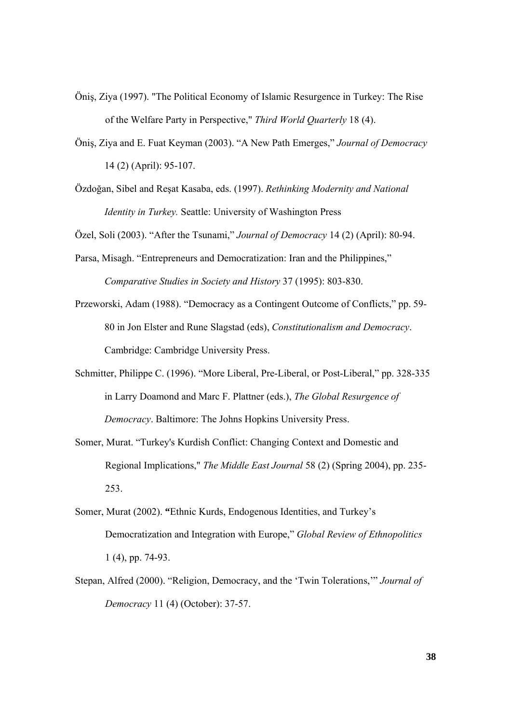- Öniş, Ziya (1997). "The Political Economy of Islamic Resurgence in Turkey: The Rise of the Welfare Party in Perspective," *Third World Quarterly* 18 (4).
- Öniş, Ziya and E. Fuat Keyman (2003). "A New Path Emerges," *Journal of Democracy* 14 (2) (April): 95-107.
- Özdoğan, Sibel and Reşat Kasaba, eds. (1997). *Rethinking Modernity and National Identity in Turkey.* Seattle: University of Washington Press

Özel, Soli (2003). "After the Tsunami," *Journal of Democracy* 14 (2) (April): 80-94.

- Parsa, Misagh. "Entrepreneurs and Democratization: Iran and the Philippines," *Comparative Studies in Society and History* 37 (1995): 803-830.
- Przeworski, Adam (1988). "Democracy as a Contingent Outcome of Conflicts," pp. 59- 80 in Jon Elster and Rune Slagstad (eds), *Constitutionalism and Democracy*. Cambridge: Cambridge University Press.
- Schmitter, Philippe C. (1996). "More Liberal, Pre-Liberal, or Post-Liberal," pp. 328-335 in Larry Doamond and Marc F. Plattner (eds.), *The Global Resurgence of Democracy*. Baltimore: The Johns Hopkins University Press.
- Somer, Murat. "Turkey's Kurdish Conflict: Changing Context and Domestic and Regional Implications," *The Middle East Journal* 58 (2) (Spring 2004), pp. 235- 253.
- Somer, Murat (2002). **"**Ethnic Kurds, Endogenous Identities, and Turkey's Democratization and Integration with Europe," *Global Review of Ethnopolitics* 1 (4), pp. 74-93.
- Stepan, Alfred (2000). "Religion, Democracy, and the 'Twin Tolerations,'" *Journal of Democracy* 11 (4) (October): 37-57.